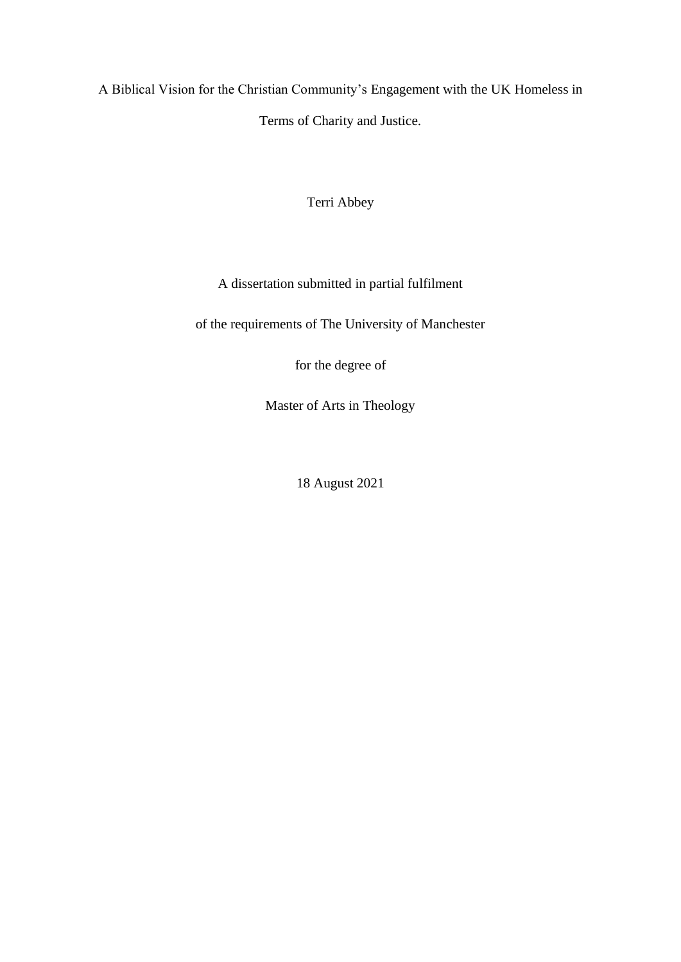A Biblical Vision for the Christian Community's Engagement with the UK Homeless in Terms of Charity and Justice.

Terri Abbey

A dissertation submitted in partial fulfilment

of the requirements of The University of Manchester

for the degree of

Master of Arts in Theology

18 August 2021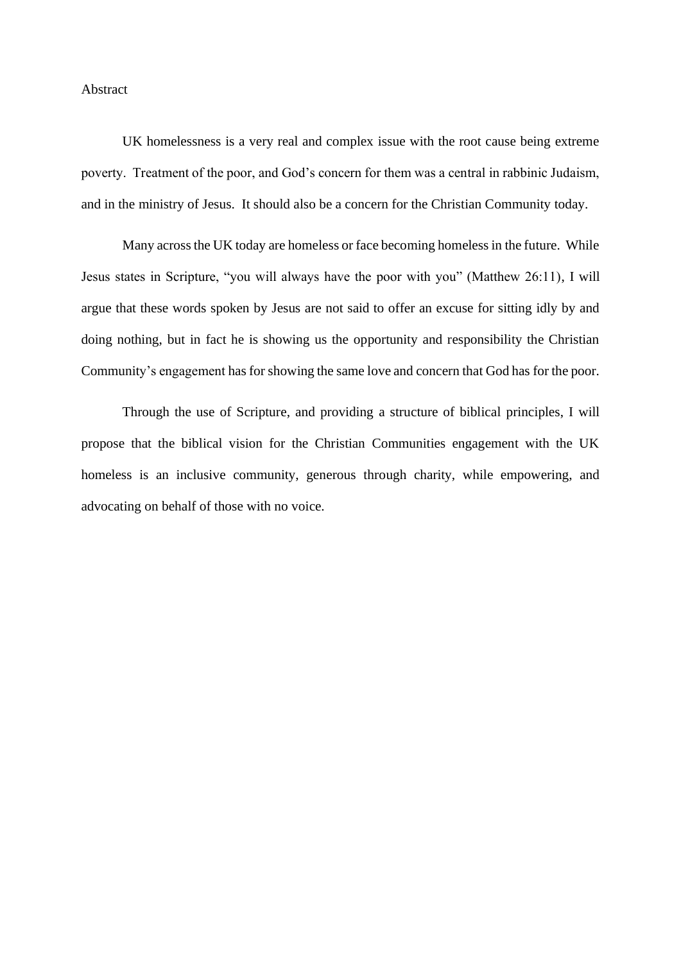#### Abstract

UK homelessness is a very real and complex issue with the root cause being extreme poverty. Treatment of the poor, and God's concern for them was a central in rabbinic Judaism, and in the ministry of Jesus. It should also be a concern for the Christian Community today.

Many across the UK today are homeless or face becoming homeless in the future. While Jesus states in Scripture, "you will always have the poor with you" (Matthew 26:11), I will argue that these words spoken by Jesus are not said to offer an excuse for sitting idly by and doing nothing, but in fact he is showing us the opportunity and responsibility the Christian Community's engagement has for showing the same love and concern that God has for the poor.

Through the use of Scripture, and providing a structure of biblical principles, I will propose that the biblical vision for the Christian Communities engagement with the UK homeless is an inclusive community, generous through charity, while empowering, and advocating on behalf of those with no voice.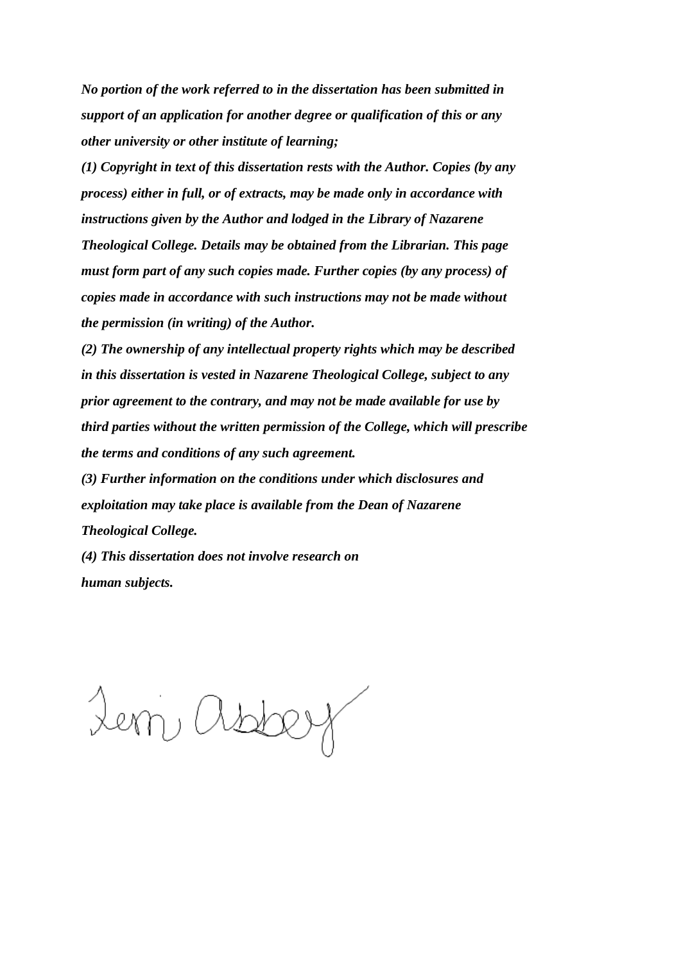*No portion of the work referred to in the dissertation has been submitted in support of an application for another degree or qualification of this or any other university or other institute of learning;*

*(1) Copyright in text of this dissertation rests with the Author. Copies (by any process) either in full, or of extracts, may be made only in accordance with instructions given by the Author and lodged in the Library of Nazarene Theological College. Details may be obtained from the Librarian. This page must form part of any such copies made. Further copies (by any process) of copies made in accordance with such instructions may not be made without the permission (in writing) of the Author.*

*(2) The ownership of any intellectual property rights which may be described in this dissertation is vested in Nazarene Theological College, subject to any prior agreement to the contrary, and may not be made available for use by third parties without the written permission of the College, which will prescribe the terms and conditions of any such agreement.*

*(3) Further information on the conditions under which disclosures and exploitation may take place is available from the Dean of Nazarene Theological College.*

*(4) This dissertation does not involve research on human subjects.* 

Lem, ast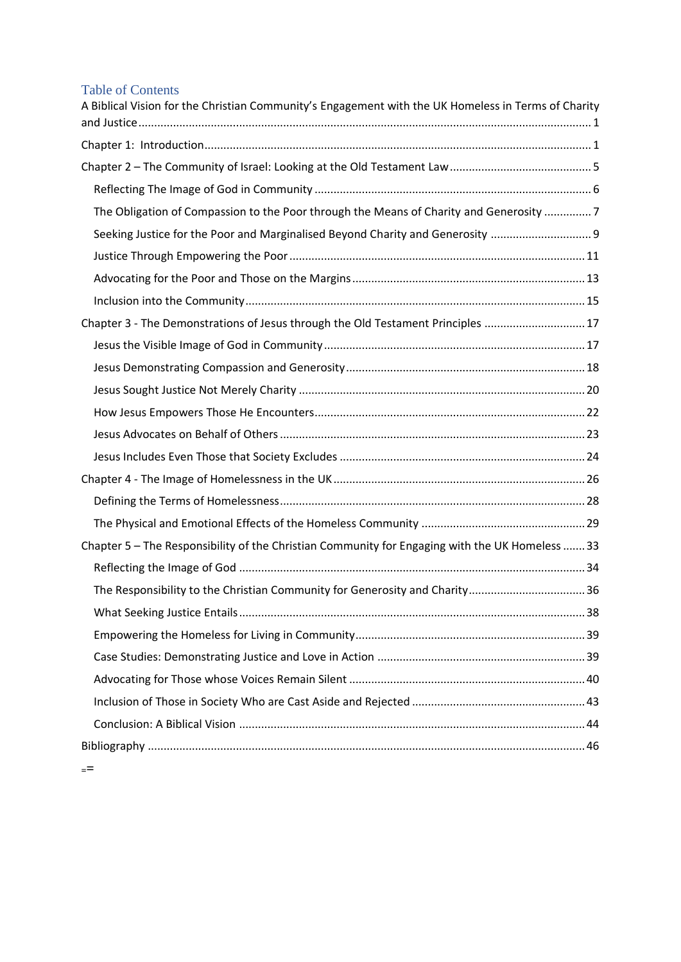# Table of Contents

| A Biblical Vision for the Christian Community's Engagement with the UK Homeless in Terms of Charity |
|-----------------------------------------------------------------------------------------------------|
|                                                                                                     |
|                                                                                                     |
|                                                                                                     |
| The Obligation of Compassion to the Poor through the Means of Charity and Generosity  7             |
| Seeking Justice for the Poor and Marginalised Beyond Charity and Generosity                         |
|                                                                                                     |
|                                                                                                     |
|                                                                                                     |
| Chapter 3 - The Demonstrations of Jesus through the Old Testament Principles  17                    |
|                                                                                                     |
|                                                                                                     |
|                                                                                                     |
|                                                                                                     |
|                                                                                                     |
|                                                                                                     |
|                                                                                                     |
|                                                                                                     |
|                                                                                                     |
| Chapter 5 - The Responsibility of the Christian Community for Engaging with the UK Homeless  33     |
|                                                                                                     |
| The Responsibility to the Christian Community for Generosity and Charity36                          |
|                                                                                                     |
|                                                                                                     |
|                                                                                                     |
|                                                                                                     |
|                                                                                                     |
|                                                                                                     |
|                                                                                                     |

**==**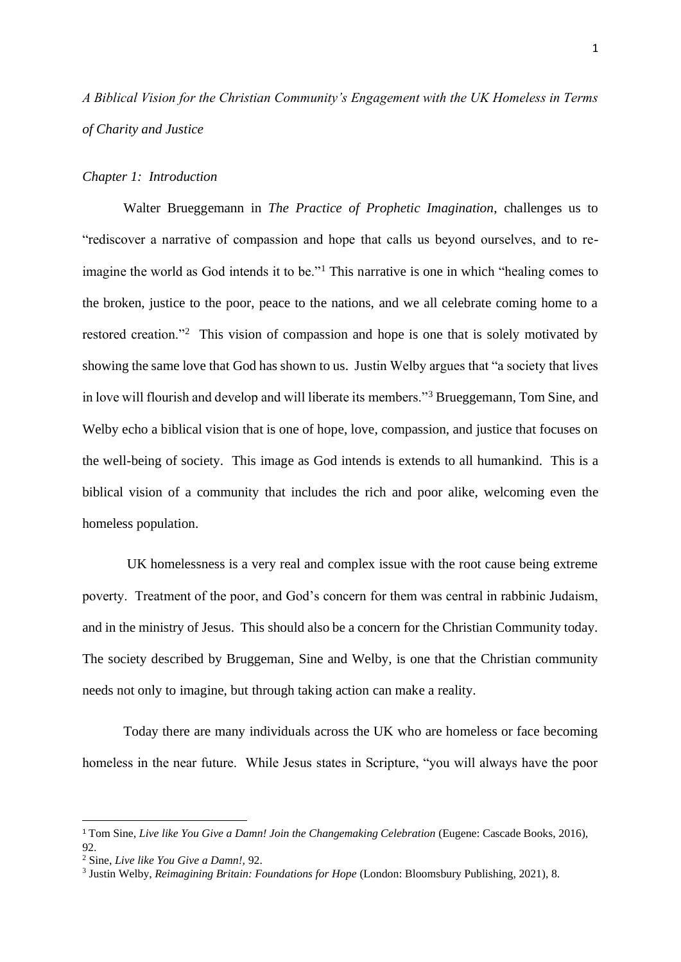<span id="page-4-0"></span>*A Biblical Vision for the Christian Community's Engagement with the UK Homeless in Terms of Charity and Justice*

#### <span id="page-4-1"></span>*Chapter 1: Introduction*

Walter Brueggemann in *The Practice of Prophetic Imagination*, challenges us to "rediscover a narrative of compassion and hope that calls us beyond ourselves, and to reimagine the world as God intends it to be."<sup>1</sup> This narrative is one in which "healing comes to the broken, justice to the poor, peace to the nations, and we all celebrate coming home to a restored creation."<sup>2</sup> This vision of compassion and hope is one that is solely motivated by showing the same love that God has shown to us. Justin Welby argues that "a society that lives in love will flourish and develop and will liberate its members."<sup>3</sup> Brueggemann, Tom Sine, and Welby echo a biblical vision that is one of hope, love, compassion, and justice that focuses on the well-being of society. This image as God intends is extends to all humankind. This is a biblical vision of a community that includes the rich and poor alike, welcoming even the homeless population.

UK homelessness is a very real and complex issue with the root cause being extreme poverty. Treatment of the poor, and God's concern for them was central in rabbinic Judaism, and in the ministry of Jesus. This should also be a concern for the Christian Community today. The society described by Bruggeman, Sine and Welby, is one that the Christian community needs not only to imagine, but through taking action can make a reality.

Today there are many individuals across the UK who are homeless or face becoming homeless in the near future. While Jesus states in Scripture, "you will always have the poor

<sup>1</sup> Tom Sine, *Live like You Give a Damn! Join the Changemaking Celebration* (Eugene: Cascade Books, 2016), 92.

<sup>2</sup> Sine, *Live like You Give a Damn!,* 92.

<sup>3</sup> Justin Welby, *Reimagining Britain: Foundations for Hope* (London: Bloomsbury Publishing, 2021), 8.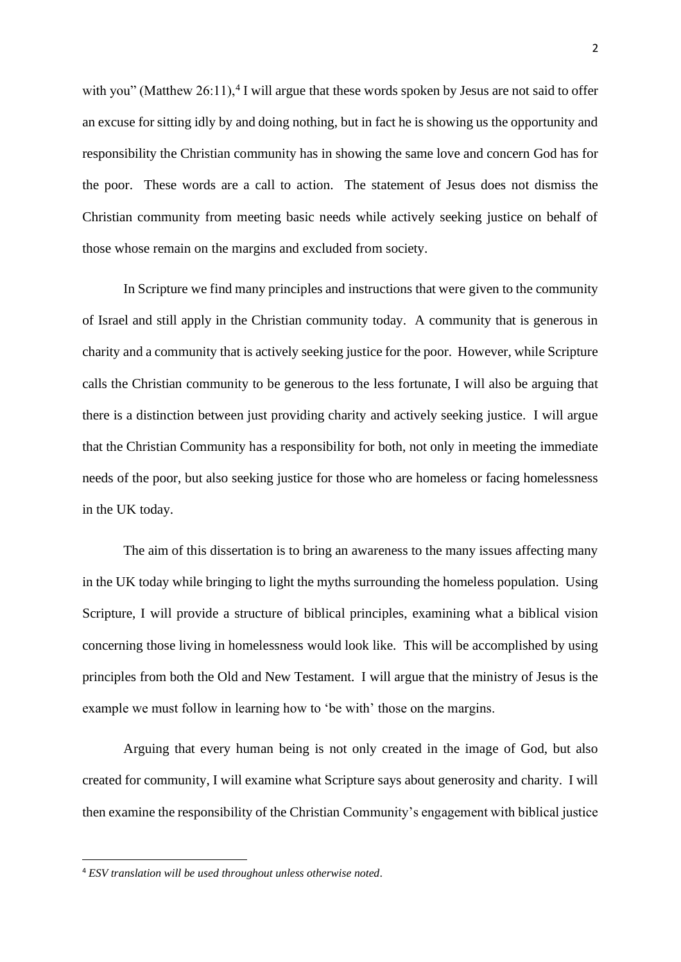with you" (Matthew  $26:11$ ),<sup>4</sup> I will argue that these words spoken by Jesus are not said to offer an excuse for sitting idly by and doing nothing, but in fact he is showing us the opportunity and responsibility the Christian community has in showing the same love and concern God has for the poor. These words are a call to action. The statement of Jesus does not dismiss the Christian community from meeting basic needs while actively seeking justice on behalf of those whose remain on the margins and excluded from society.

In Scripture we find many principles and instructions that were given to the community of Israel and still apply in the Christian community today. A community that is generous in charity and a community that is actively seeking justice for the poor. However, while Scripture calls the Christian community to be generous to the less fortunate, I will also be arguing that there is a distinction between just providing charity and actively seeking justice. I will argue that the Christian Community has a responsibility for both, not only in meeting the immediate needs of the poor, but also seeking justice for those who are homeless or facing homelessness in the UK today.

The aim of this dissertation is to bring an awareness to the many issues affecting many in the UK today while bringing to light the myths surrounding the homeless population. Using Scripture, I will provide a structure of biblical principles, examining what a biblical vision concerning those living in homelessness would look like. This will be accomplished by using principles from both the Old and New Testament. I will argue that the ministry of Jesus is the example we must follow in learning how to 'be with' those on the margins.

Arguing that every human being is not only created in the image of God, but also created for community, I will examine what Scripture says about generosity and charity. I will then examine the responsibility of the Christian Community's engagement with biblical justice

<sup>4</sup> *ESV translation will be used throughout unless otherwise noted*.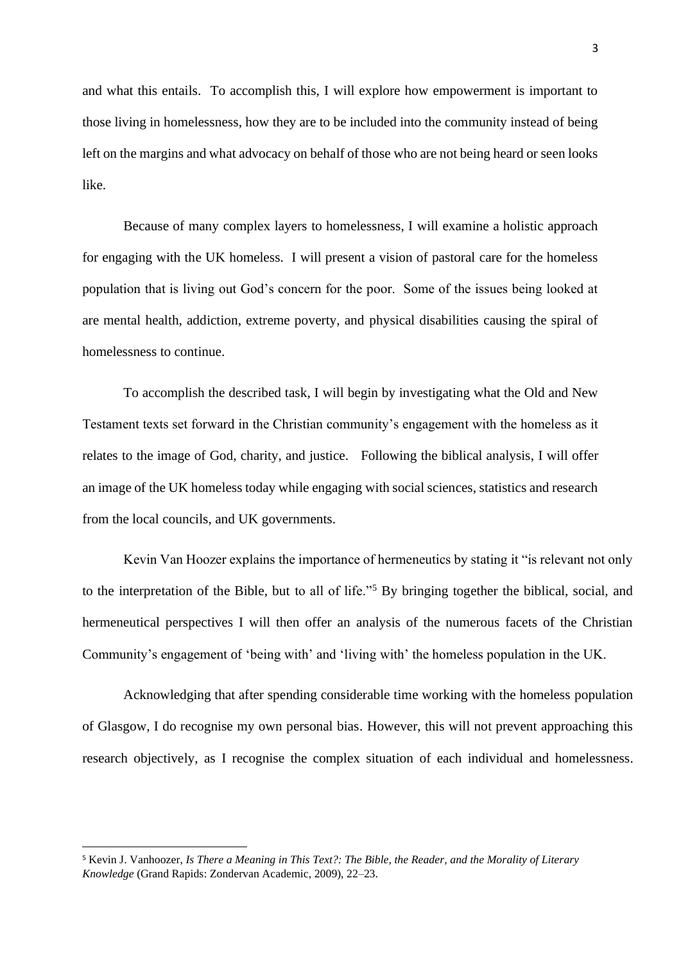and what this entails. To accomplish this, I will explore how empowerment is important to those living in homelessness, how they are to be included into the community instead of being left on the margins and what advocacy on behalf of those who are not being heard or seen looks like.

Because of many complex layers to homelessness, I will examine a holistic approach for engaging with the UK homeless. I will present a vision of pastoral care for the homeless population that is living out God's concern for the poor. Some of the issues being looked at are mental health, addiction, extreme poverty, and physical disabilities causing the spiral of homelessness to continue.

To accomplish the described task, I will begin by investigating what the Old and New Testament texts set forward in the Christian community's engagement with the homeless as it relates to the image of God, charity, and justice. Following the biblical analysis, I will offer an image of the UK homeless today while engaging with social sciences, statistics and research from the local councils, and UK governments.

Kevin Van Hoozer explains the importance of hermeneutics by stating it "is relevant not only to the interpretation of the Bible, but to all of life."<sup>5</sup> By bringing together the biblical, social, and hermeneutical perspectives I will then offer an analysis of the numerous facets of the Christian Community's engagement of 'being with' and 'living with' the homeless population in the UK.

Acknowledging that after spending considerable time working with the homeless population of Glasgow, I do recognise my own personal bias. However, this will not prevent approaching this research objectively, as I recognise the complex situation of each individual and homelessness.

<sup>5</sup> Kevin J. Vanhoozer, *Is There a Meaning in This Text?: The Bible, the Reader, and the Morality of Literary Knowledge* (Grand Rapids: Zondervan Academic, 2009), 22–23.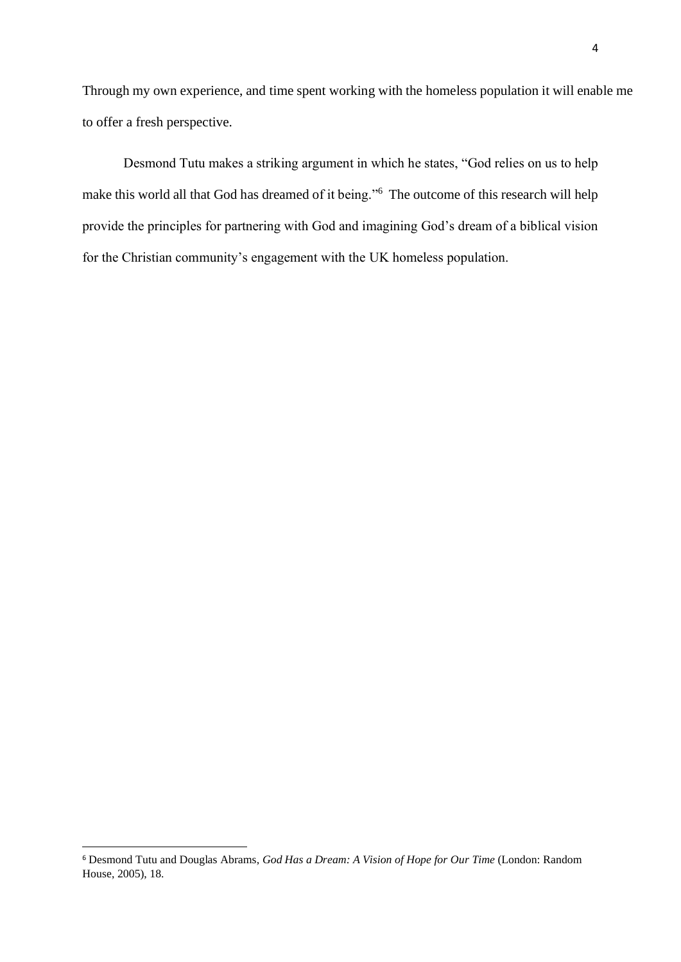Through my own experience, and time spent working with the homeless population it will enable me to offer a fresh perspective.

Desmond Tutu makes a striking argument in which he states, "God relies on us to help make this world all that God has dreamed of it being."<sup>6</sup> The outcome of this research will help provide the principles for partnering with God and imagining God's dream of a biblical vision for the Christian community's engagement with the UK homeless population.

<sup>6</sup> Desmond Tutu and Douglas Abrams, *God Has a Dream: A Vision of Hope for Our Time* (London: Random House, 2005), 18.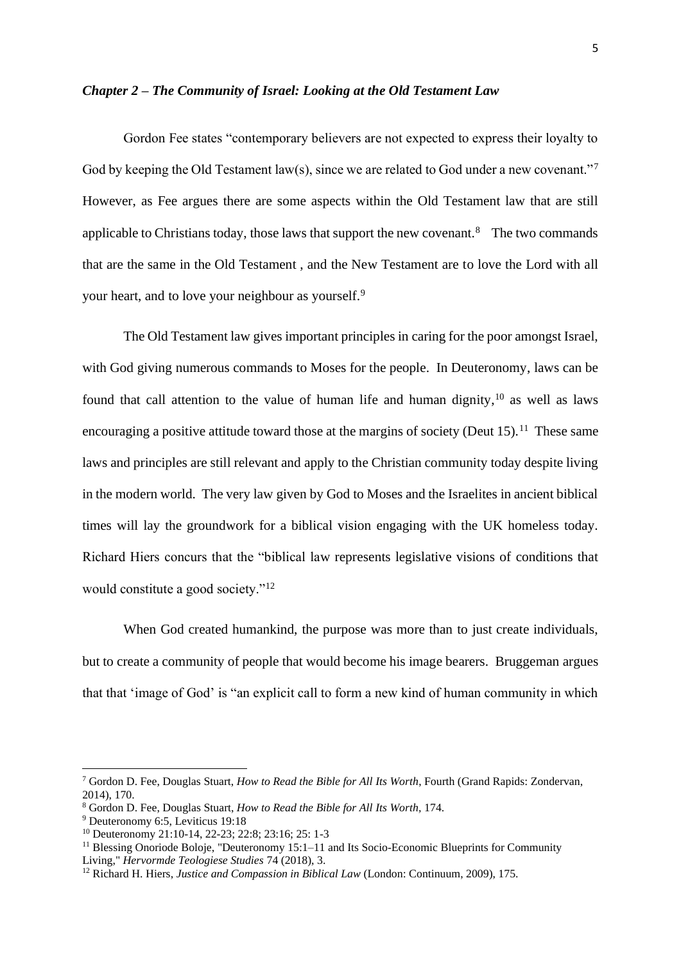#### <span id="page-8-0"></span>*Chapter 2 – The Community of Israel: Looking at the Old Testament Law*

Gordon Fee states "contemporary believers are not expected to express their loyalty to God by keeping the Old Testament law(s), since we are related to God under a new covenant."<sup>7</sup> However, as Fee argues there are some aspects within the Old Testament law that are still applicable to Christians today, those laws that support the new covenant. $8$  The two commands that are the same in the Old Testament , and the New Testament are to love the Lord with all your heart, and to love your neighbour as yourself.<sup>9</sup>

The Old Testament law gives important principles in caring for the poor amongst Israel, with God giving numerous commands to Moses for the people. In Deuteronomy, laws can be found that call attention to the value of human life and human dignity, $10$  as well as laws encouraging a positive attitude toward those at the margins of society (Deut  $15$ ).<sup>11</sup> These same laws and principles are still relevant and apply to the Christian community today despite living in the modern world. The very law given by God to Moses and the Israelites in ancient biblical times will lay the groundwork for a biblical vision engaging with the UK homeless today. Richard Hiers concurs that the "biblical law represents legislative visions of conditions that would constitute a good society."<sup>12</sup>

When God created humankind, the purpose was more than to just create individuals, but to create a community of people that would become his image bearers. Bruggeman argues that that 'image of God' is "an explicit call to form a new kind of human community in which

<sup>7</sup> Gordon D. Fee, Douglas Stuart, *How to Read the Bible for All Its Worth*, Fourth (Grand Rapids: Zondervan, 2014), 170.

<sup>8</sup> Gordon D. Fee, Douglas Stuart, *How to Read the Bible for All Its Worth,* 174.

<sup>9</sup> Deuteronomy 6:5, Leviticus 19:18

<sup>10</sup> Deuteronomy 21:10-14, 22-23; 22:8; 23:16; 25: 1-3

<sup>&</sup>lt;sup>11</sup> Blessing Onoriode Boloje, "Deuteronomy 15:1–11 and Its Socio-Economic Blueprints for Community Living," *Hervormde Teologiese Studies* 74 (2018), 3.

<sup>12</sup> Richard H. Hiers, *Justice and Compassion in Biblical Law* (London: Continuum, 2009), 175.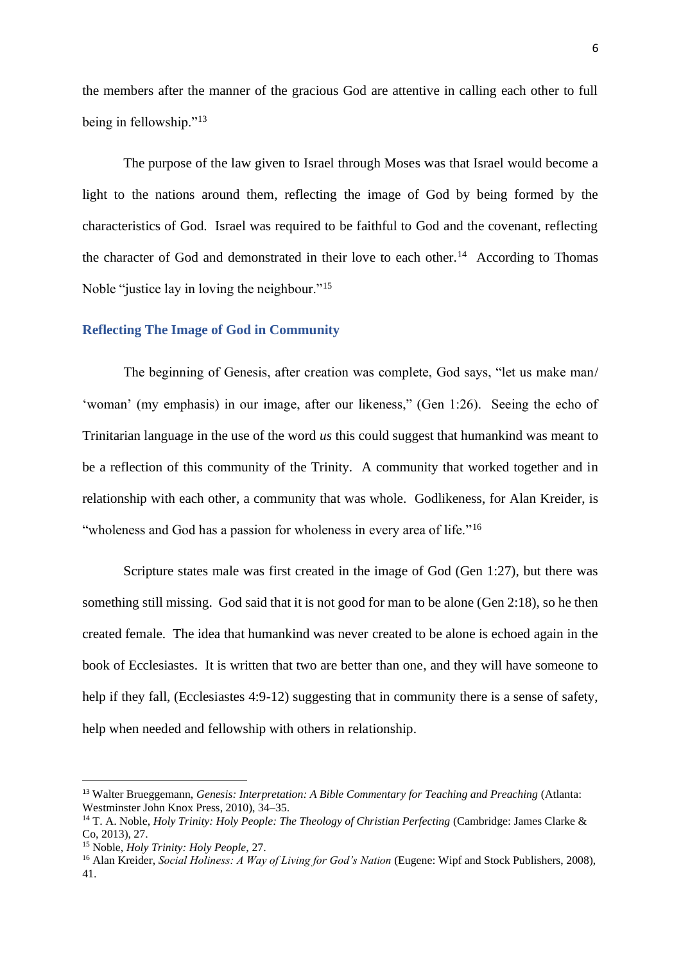the members after the manner of the gracious God are attentive in calling each other to full being in fellowship."<sup>13</sup>

The purpose of the law given to Israel through Moses was that Israel would become a light to the nations around them, reflecting the image of God by being formed by the characteristics of God. Israel was required to be faithful to God and the covenant, reflecting the character of God and demonstrated in their love to each other.<sup>14</sup> According to Thomas Noble "justice lay in loving the neighbour."<sup>15</sup>

#### <span id="page-9-0"></span>**Reflecting The Image of God in Community**

The beginning of Genesis, after creation was complete, God says, "let us make man/ 'woman' (my emphasis) in our image, after our likeness," (Gen 1:26). Seeing the echo of Trinitarian language in the use of the word *us* this could suggest that humankind was meant to be a reflection of this community of the Trinity. A community that worked together and in relationship with each other, a community that was whole. Godlikeness, for Alan Kreider, is "wholeness and God has a passion for wholeness in every area of life."<sup>16</sup>

Scripture states male was first created in the image of God (Gen 1:27), but there was something still missing. God said that it is not good for man to be alone (Gen 2:18), so he then created female. The idea that humankind was never created to be alone is echoed again in the book of Ecclesiastes. It is written that two are better than one, and they will have someone to help if they fall, (Ecclesiastes 4:9-12) suggesting that in community there is a sense of safety, help when needed and fellowship with others in relationship.

<sup>13</sup> Walter Brueggemann, *Genesis: Interpretation: A Bible Commentary for Teaching and Preaching* (Atlanta: Westminster John Knox Press, 2010), 34–35.

<sup>&</sup>lt;sup>14</sup> T. A. Noble, *Holy Trinity: Holy People: The Theology of Christian Perfecting* (Cambridge: James Clarke & Co, 2013), 27.

<sup>15</sup> Noble, *Holy Trinity: Holy People,* 27.

<sup>16</sup> Alan Kreider, *Social Holiness: A Way of Living for God's Nation* (Eugene: Wipf and Stock Publishers, 2008), 41.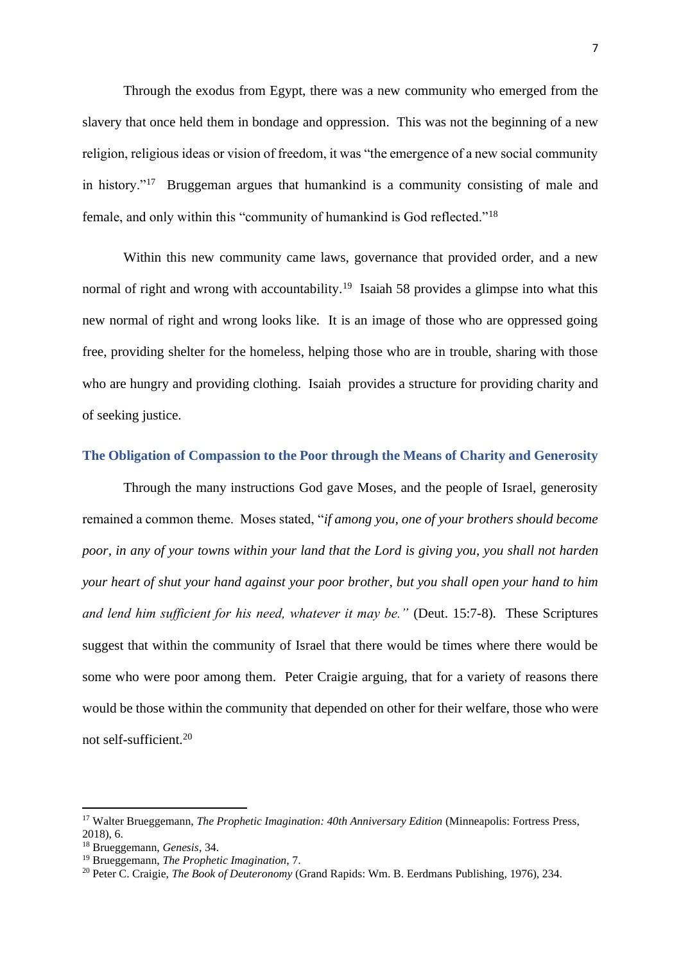Through the exodus from Egypt, there was a new community who emerged from the slavery that once held them in bondage and oppression. This was not the beginning of a new religion, religious ideas or vision of freedom, it was "the emergence of a new social community in history."<sup>17</sup> Bruggeman argues that humankind is a community consisting of male and female, and only within this "community of humankind is God reflected."<sup>18</sup>

Within this new community came laws, governance that provided order, and a new normal of right and wrong with accountability.<sup>19</sup> Isaiah 58 provides a glimpse into what this new normal of right and wrong looks like. It is an image of those who are oppressed going free, providing shelter for the homeless, helping those who are in trouble, sharing with those who are hungry and providing clothing. Isaiah provides a structure for providing charity and of seeking justice.

#### <span id="page-10-0"></span>**The Obligation of Compassion to the Poor through the Means of Charity and Generosity**

Through the many instructions God gave Moses, and the people of Israel, generosity remained a common theme. Moses stated, "*if among you, one of your brothers should become poor, in any of your towns within your land that the Lord is giving you, you shall not harden your heart of shut your hand against your poor brother, but you shall open your hand to him and lend him sufficient for his need, whatever it may be."* (Deut. 15:7-8)*.* These Scriptures suggest that within the community of Israel that there would be times where there would be some who were poor among them. Peter Craigie arguing, that for a variety of reasons there would be those within the community that depended on other for their welfare, those who were not self-sufficient.<sup>20</sup>

<sup>17</sup> Walter Brueggemann, *The Prophetic Imagination: 40th Anniversary Edition* (Minneapolis: Fortress Press, 2018), 6.

<sup>18</sup> Brueggemann, *Genesis*, 34.

<sup>19</sup> Brueggemann, *The Prophetic Imagination*, 7.

<sup>20</sup> Peter C. Craigie, *The Book of Deuteronomy* (Grand Rapids: Wm. B. Eerdmans Publishing, 1976), 234.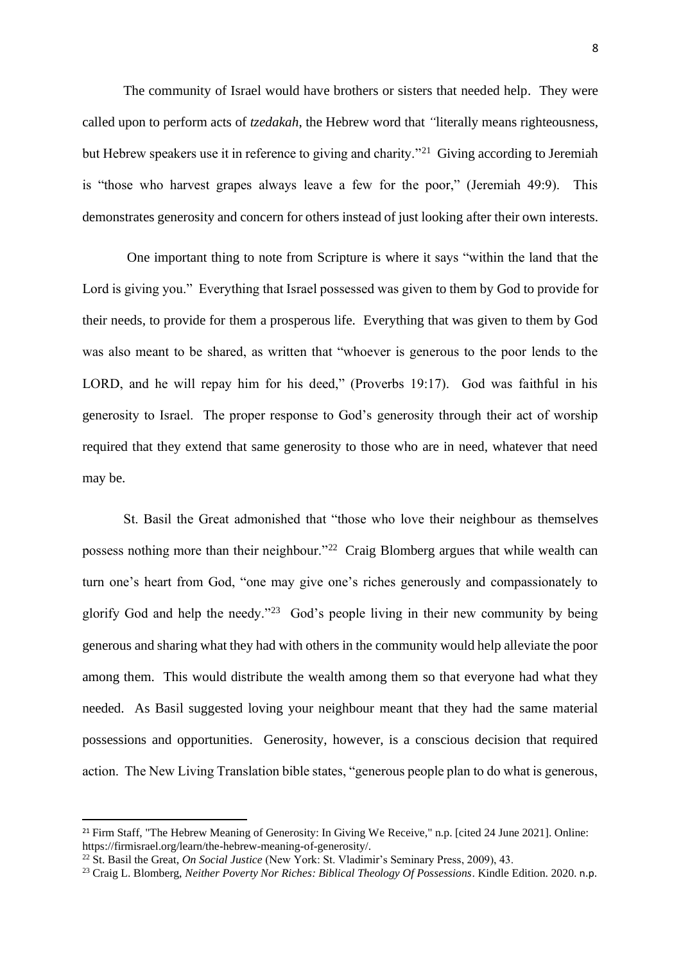The community of Israel would have brothers or sisters that needed help. They were called upon to perform acts of *tzedakah*, the Hebrew word that *"*literally means righteousness, but Hebrew speakers use it in reference to giving and charity."<sup>21</sup> Giving according to Jeremiah is "those who harvest grapes always leave a few for the poor," (Jeremiah 49:9). This demonstrates generosity and concern for others instead of just looking after their own interests.

One important thing to note from Scripture is where it says "within the land that the Lord is giving you." Everything that Israel possessed was given to them by God to provide for their needs, to provide for them a prosperous life. Everything that was given to them by God was also meant to be shared, as written that "whoever is generous to the poor lends to the LORD, and he will repay him for his deed," (Proverbs 19:17). God was faithful in his generosity to Israel. The proper response to God's generosity through their act of worship required that they extend that same generosity to those who are in need, whatever that need may be.

St. Basil the Great admonished that "those who love their neighbour as themselves possess nothing more than their neighbour."<sup>22</sup> Craig Blomberg argues that while wealth can turn one's heart from God, "one may give one's riches generously and compassionately to glorify God and help the needy."<sup>23</sup> God's people living in their new community by being generous and sharing what they had with others in the community would help alleviate the poor among them. This would distribute the wealth among them so that everyone had what they needed. As Basil suggested loving your neighbour meant that they had the same material possessions and opportunities. Generosity, however, is a conscious decision that required action. The New Living Translation bible states, "generous people plan to do what is generous,

<sup>21</sup> Firm Staff, "The Hebrew Meaning of Generosity: In Giving We Receive," n.p. [cited 24 June 2021]. Online: https://firmisrael.org/learn/the-hebrew-meaning-of-generosity/.

<sup>22</sup> St. Basil the Great, *On Social Justice* (New York: St. Vladimir's Seminary Press, 2009), 43.

<sup>23</sup> Craig L. Blomberg, *Neither Poverty Nor Riches: Biblical Theology Of Possessions*. Kindle Edition. 2020. n.p.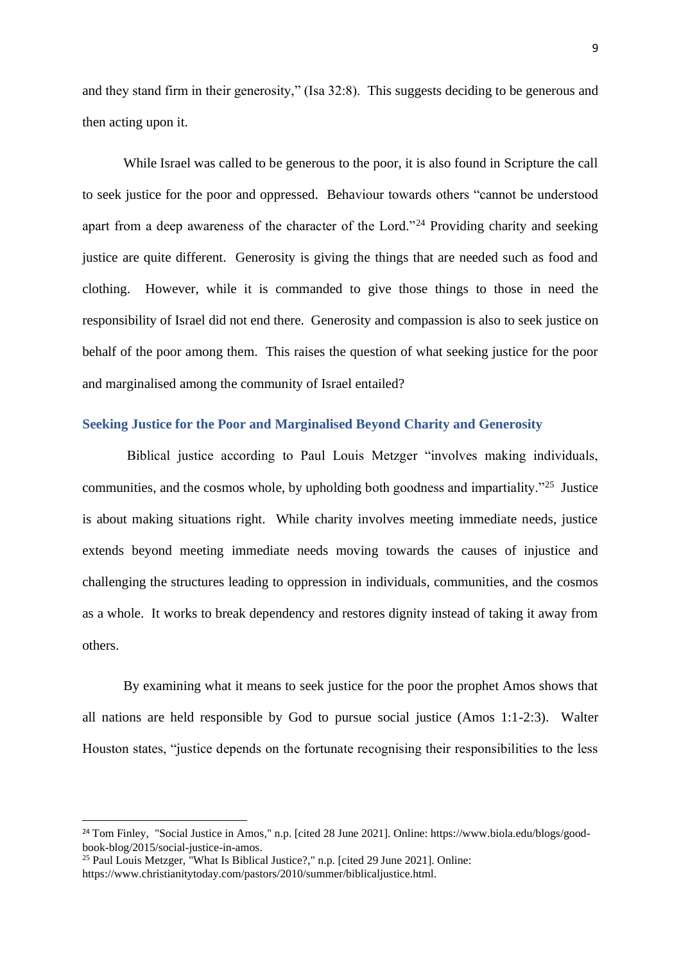and they stand firm in their generosity," (Isa 32:8). This suggests deciding to be generous and then acting upon it.

While Israel was called to be generous to the poor, it is also found in Scripture the call to seek justice for the poor and oppressed. Behaviour towards others "cannot be understood apart from a deep awareness of the character of the Lord."<sup>24</sup> Providing charity and seeking justice are quite different. Generosity is giving the things that are needed such as food and clothing. However, while it is commanded to give those things to those in need the responsibility of Israel did not end there. Generosity and compassion is also to seek justice on behalf of the poor among them. This raises the question of what seeking justice for the poor and marginalised among the community of Israel entailed?

# <span id="page-12-0"></span>**Seeking Justice for the Poor and Marginalised Beyond Charity and Generosity**

Biblical justice according to Paul Louis Metzger "involves making individuals, communities, and the cosmos whole, by upholding both goodness and impartiality."<sup>25</sup> Justice is about making situations right. While charity involves meeting immediate needs, justice extends beyond meeting immediate needs moving towards the causes of injustice and challenging the structures leading to oppression in individuals, communities, and the cosmos as a whole. It works to break dependency and restores dignity instead of taking it away from others.

By examining what it means to seek justice for the poor the prophet Amos shows that all nations are held responsible by God to pursue social justice (Amos 1:1-2:3). Walter Houston states, "justice depends on the fortunate recognising their responsibilities to the less

<sup>24</sup> Tom Finley, "Social Justice in Amos," n.p. [cited 28 June 2021]. Online: https://www.biola.edu/blogs/goodbook-blog/2015/social-justice-in-amos.

<sup>25</sup> Paul Louis Metzger, "What Is Biblical Justice?," n.p. [cited 29 June 2021]. Online: https://www.christianitytoday.com/pastors/2010/summer/biblicaljustice.html.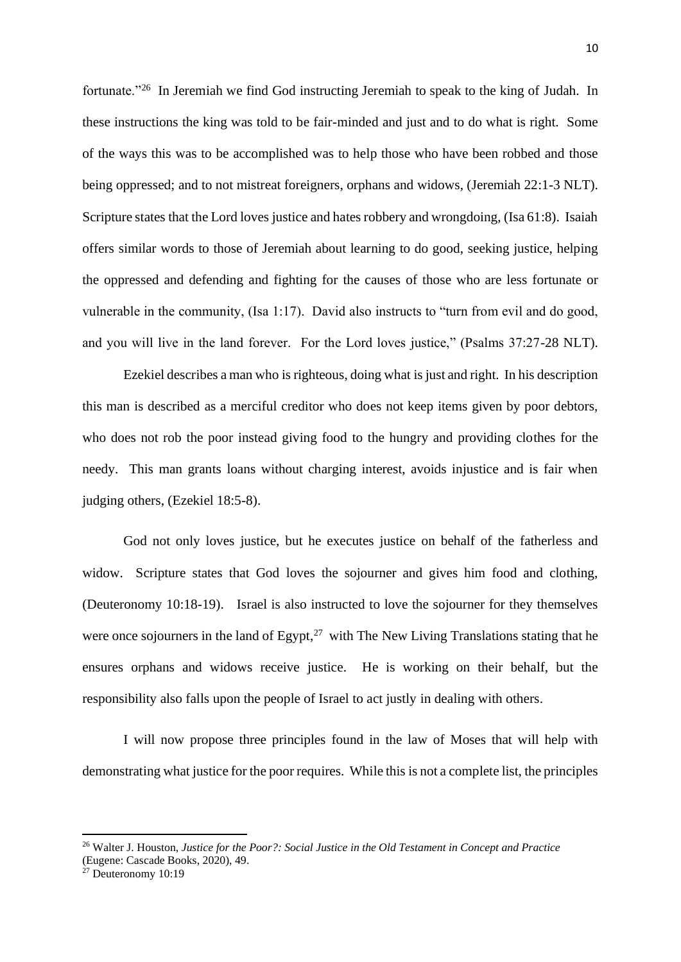fortunate."<sup>26</sup> In Jeremiah we find God instructing Jeremiah to speak to the king of Judah. In these instructions the king was told to be fair-minded and just and to do what is right. Some of the ways this was to be accomplished was to help those who have been robbed and those being oppressed; and to not mistreat foreigners, orphans and widows, (Jeremiah 22:1-3 NLT). Scripture states that the Lord loves justice and hates robbery and wrongdoing, (Isa 61:8). Isaiah offers similar words to those of Jeremiah about learning to do good, seeking justice, helping the oppressed and defending and fighting for the causes of those who are less fortunate or vulnerable in the community, (Isa 1:17). David also instructs to "turn from evil and do good, and you will live in the land forever. For the Lord loves justice," (Psalms 37:27-28 NLT).

Ezekiel describes a man who is righteous, doing what is just and right. In his description this man is described as a merciful creditor who does not keep items given by poor debtors, who does not rob the poor instead giving food to the hungry and providing clothes for the needy. This man grants loans without charging interest, avoids injustice and is fair when judging others, (Ezekiel 18:5-8).

God not only loves justice, but he executes justice on behalf of the fatherless and widow. Scripture states that God loves the sojourner and gives him food and clothing, (Deuteronomy 10:18-19). Israel is also instructed to love the sojourner for they themselves were once sojourners in the land of Egypt, $27$  with The New Living Translations stating that he ensures orphans and widows receive justice. He is working on their behalf, but the responsibility also falls upon the people of Israel to act justly in dealing with others.

I will now propose three principles found in the law of Moses that will help with demonstrating what justice for the poor requires. While this is not a complete list, the principles

<sup>26</sup> Walter J. Houston, *Justice for the Poor?: Social Justice in the Old Testament in Concept and Practice*

<sup>(</sup>Eugene: Cascade Books, 2020), 49.

<sup>27</sup> Deuteronomy 10:19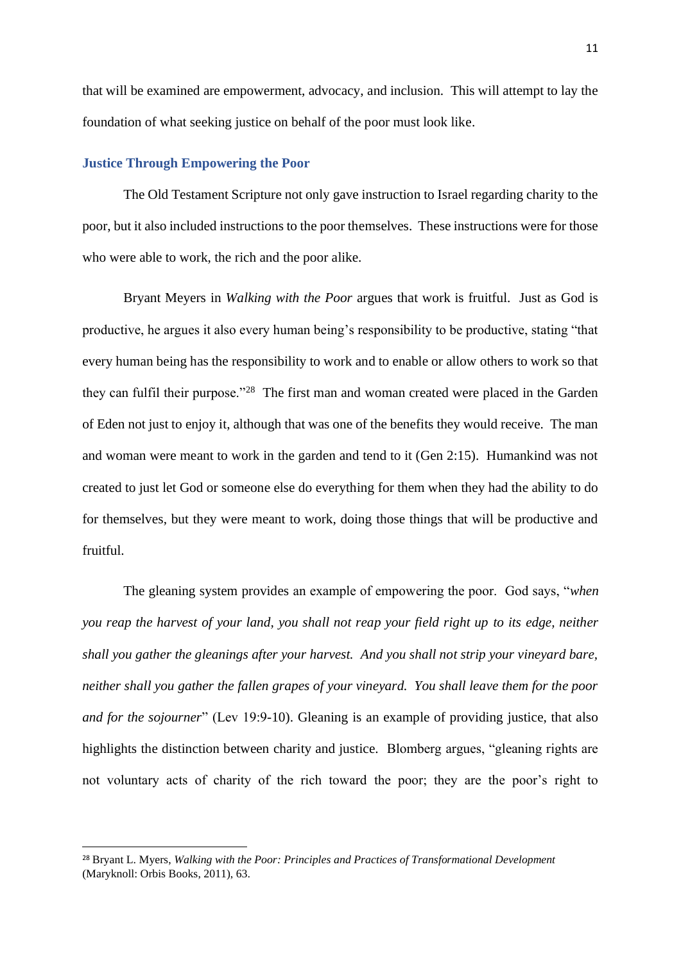that will be examined are empowerment, advocacy, and inclusion. This will attempt to lay the foundation of what seeking justice on behalf of the poor must look like.

## <span id="page-14-0"></span>**Justice Through Empowering the Poor**

The Old Testament Scripture not only gave instruction to Israel regarding charity to the poor, but it also included instructions to the poor themselves. These instructions were for those who were able to work, the rich and the poor alike.

Bryant Meyers in *Walking with the Poor* argues that work is fruitful. Just as God is productive, he argues it also every human being's responsibility to be productive, stating "that every human being has the responsibility to work and to enable or allow others to work so that they can fulfil their purpose."<sup>28</sup> The first man and woman created were placed in the Garden of Eden not just to enjoy it, although that was one of the benefits they would receive. The man and woman were meant to work in the garden and tend to it (Gen 2:15). Humankind was not created to just let God or someone else do everything for them when they had the ability to do for themselves, but they were meant to work, doing those things that will be productive and fruitful.

The gleaning system provides an example of empowering the poor. God says, "*when you reap the harvest of your land, you shall not reap your field right up to its edge, neither shall you gather the gleanings after your harvest. And you shall not strip your vineyard bare, neither shall you gather the fallen grapes of your vineyard. You shall leave them for the poor and for the sojourner*" (Lev 19:9-10). Gleaning is an example of providing justice, that also highlights the distinction between charity and justice. Blomberg argues, "gleaning rights are not voluntary acts of charity of the rich toward the poor; they are the poor's right to

<sup>28</sup> Bryant L. Myers, *Walking with the Poor: Principles and Practices of Transformational Development* (Maryknoll: Orbis Books, 2011), 63.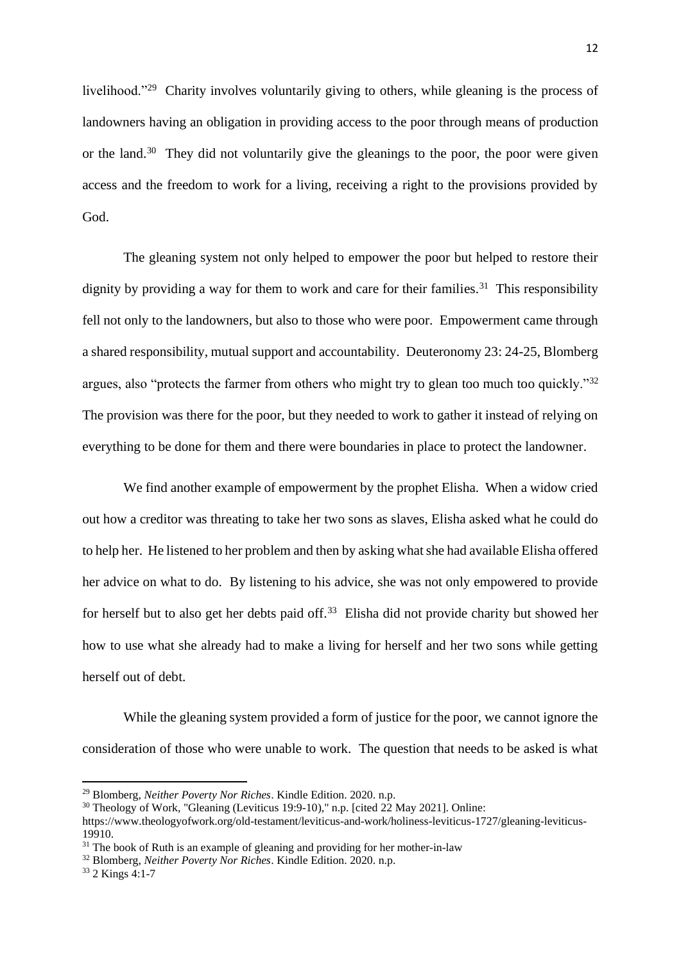livelihood."<sup>29</sup> Charity involves voluntarily giving to others, while gleaning is the process of landowners having an obligation in providing access to the poor through means of production or the land.<sup>30</sup> They did not voluntarily give the gleanings to the poor, the poor were given access and the freedom to work for a living, receiving a right to the provisions provided by God.

The gleaning system not only helped to empower the poor but helped to restore their dignity by providing a way for them to work and care for their families.<sup>31</sup> This responsibility fell not only to the landowners, but also to those who were poor. Empowerment came through a shared responsibility, mutual support and accountability. Deuteronomy 23: 24-25, Blomberg argues, also "protects the farmer from others who might try to glean too much too quickly."<sup>32</sup> The provision was there for the poor, but they needed to work to gather it instead of relying on everything to be done for them and there were boundaries in place to protect the landowner.

We find another example of empowerment by the prophet Elisha. When a widow cried out how a creditor was threating to take her two sons as slaves, Elisha asked what he could do to help her. He listened to her problem and then by asking what she had available Elisha offered her advice on what to do. By listening to his advice, she was not only empowered to provide for herself but to also get her debts paid off.<sup>33</sup> Elisha did not provide charity but showed her how to use what she already had to make a living for herself and her two sons while getting herself out of debt.

While the gleaning system provided a form of justice for the poor, we cannot ignore the consideration of those who were unable to work. The question that needs to be asked is what

<sup>29</sup> Blomberg, *Neither Poverty Nor Riches*. Kindle Edition. 2020. n.p.

<sup>30</sup> Theology of Work, "Gleaning (Leviticus 19:9-10)," n.p. [cited 22 May 2021]. Online:

https://www.theologyofwork.org/old-testament/leviticus-and-work/holiness-leviticus-1727/gleaning-leviticus-19910.

<sup>&</sup>lt;sup>31</sup> The book of Ruth is an example of gleaning and providing for her mother-in-law

<sup>32</sup> Blomberg, *Neither Poverty Nor Riches*. Kindle Edition. 2020. n.p.

<sup>33</sup> 2 Kings 4:1-7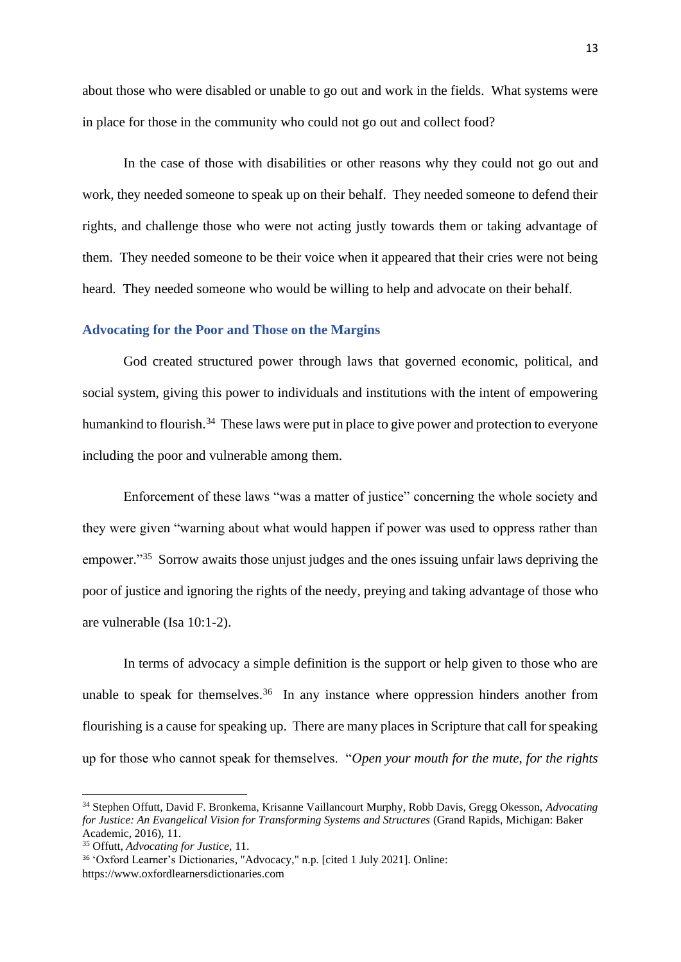about those who were disabled or unable to go out and work in the fields. What systems were in place for those in the community who could not go out and collect food?

In the case of those with disabilities or other reasons why they could not go out and work, they needed someone to speak up on their behalf. They needed someone to defend their rights, and challenge those who were not acting justly towards them or taking advantage of them. They needed someone to be their voice when it appeared that their cries were not being heard. They needed someone who would be willing to help and advocate on their behalf.

#### <span id="page-16-0"></span>**Advocating for the Poor and Those on the Margins**

God created structured power through laws that governed economic, political, and social system, giving this power to individuals and institutions with the intent of empowering humankind to flourish.<sup>34</sup> These laws were put in place to give power and protection to everyone including the poor and vulnerable among them.

Enforcement of these laws "was a matter of justice" concerning the whole society and they were given "warning about what would happen if power was used to oppress rather than empower."<sup>35</sup> Sorrow awaits those unjust judges and the ones issuing unfair laws depriving the poor of justice and ignoring the rights of the needy, preying and taking advantage of those who are vulnerable (Isa 10:1-2).

In terms of advocacy a simple definition is the support or help given to those who are unable to speak for themselves.<sup>36</sup> In any instance where oppression hinders another from flourishing is a cause for speaking up. There are many places in Scripture that call for speaking up for those who cannot speak for themselves. "*Open your mouth for the mute, for the rights* 

<sup>34</sup> Stephen Offutt, David F. Bronkema, Krisanne Vaillancourt Murphy, Robb Davis, Gregg Okesson, *Advocating for Justice: An Evangelical Vision for Transforming Systems and Structures* (Grand Rapids, Michigan: Baker Academic, 2016), 11.

<sup>35</sup> Offutt, *Advocating for Justice,* 11.

<sup>36</sup> 'Oxford Learner's Dictionaries, "Advocacy," n.p. [cited 1 July 2021]. Online: https://www.oxfordlearnersdictionaries.com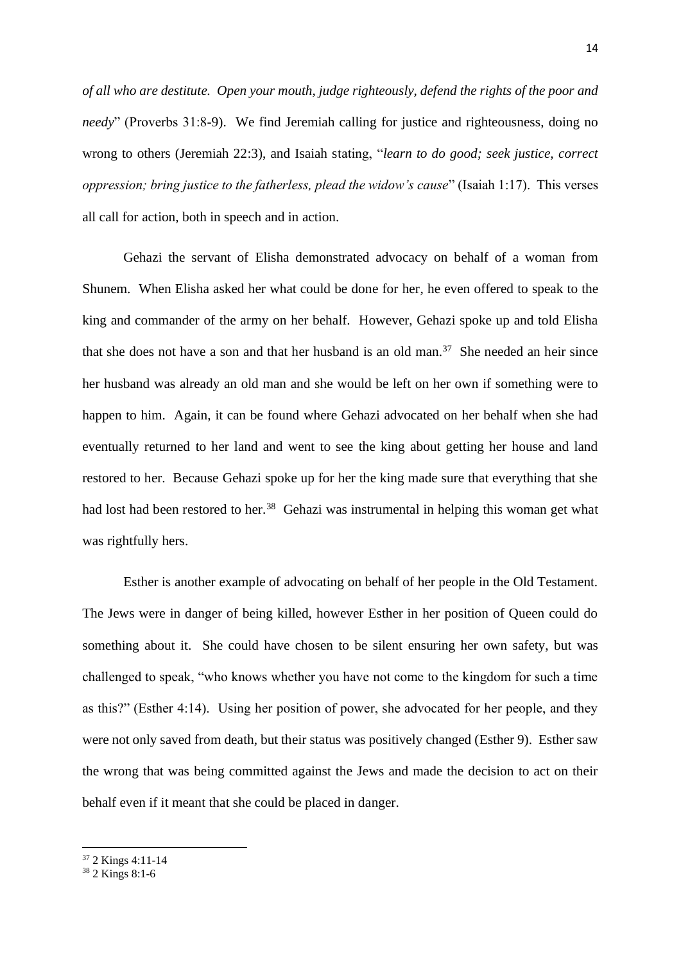*of all who are destitute. Open your mouth, judge righteously, defend the rights of the poor and needy*" (Proverbs 31:8-9). We find Jeremiah calling for justice and righteousness, doing no wrong to others (Jeremiah 22:3), and Isaiah stating, "*learn to do good; seek justice, correct oppression; bring justice to the fatherless, plead the widow's cause*" (Isaiah 1:17). This verses all call for action, both in speech and in action.

Gehazi the servant of Elisha demonstrated advocacy on behalf of a woman from Shunem. When Elisha asked her what could be done for her, he even offered to speak to the king and commander of the army on her behalf. However, Gehazi spoke up and told Elisha that she does not have a son and that her husband is an old man.<sup>37</sup> She needed an heir since her husband was already an old man and she would be left on her own if something were to happen to him. Again, it can be found where Gehazi advocated on her behalf when she had eventually returned to her land and went to see the king about getting her house and land restored to her. Because Gehazi spoke up for her the king made sure that everything that she had lost had been restored to her.<sup>38</sup> Gehazi was instrumental in helping this woman get what was rightfully hers.

Esther is another example of advocating on behalf of her people in the Old Testament. The Jews were in danger of being killed, however Esther in her position of Queen could do something about it. She could have chosen to be silent ensuring her own safety, but was challenged to speak, "who knows whether you have not come to the kingdom for such a time as this?" (Esther 4:14). Using her position of power, she advocated for her people, and they were not only saved from death, but their status was positively changed (Esther 9). Esther saw the wrong that was being committed against the Jews and made the decision to act on their behalf even if it meant that she could be placed in danger.

<sup>37</sup> 2 Kings 4:11-14

<sup>38</sup> 2 Kings 8:1-6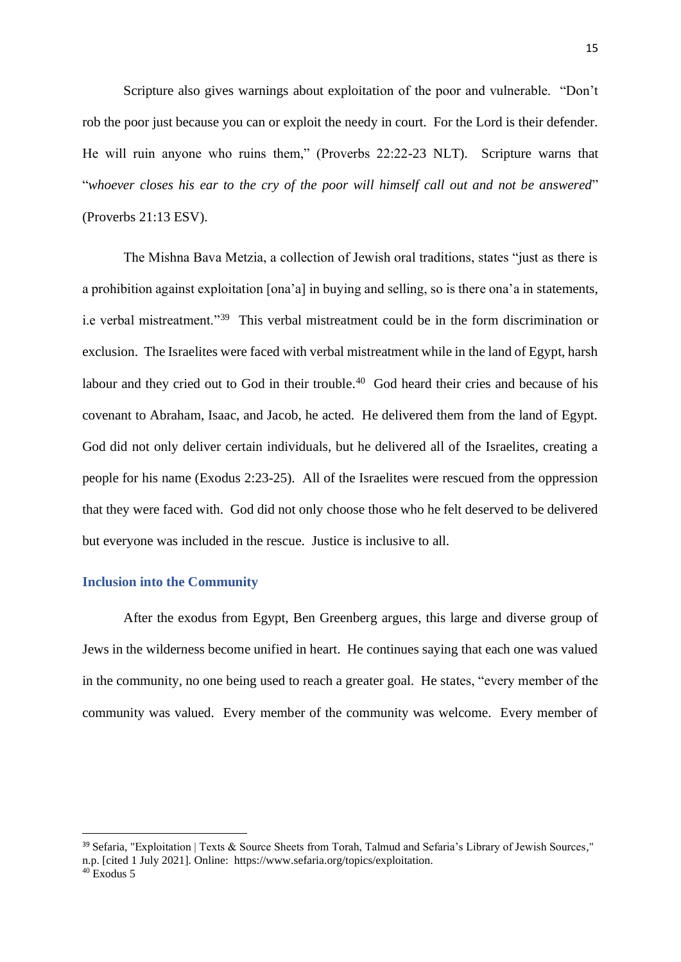Scripture also gives warnings about exploitation of the poor and vulnerable. "Don't rob the poor just because you can or exploit the needy in court. For the Lord is their defender. He will ruin anyone who ruins them," (Proverbs 22:22-23 NLT). Scripture warns that "*whoever closes his ear to the cry of the poor will himself call out and not be answered*" (Proverbs 21:13 ESV).

The Mishna Bava Metzia, a collection of Jewish oral traditions, states "just as there is a prohibition against exploitation [ona'a] in buying and selling, so is there ona'a in statements, i.e verbal mistreatment."<sup>39</sup> This verbal mistreatment could be in the form discrimination or exclusion. The Israelites were faced with verbal mistreatment while in the land of Egypt, harsh labour and they cried out to God in their trouble.<sup>40</sup> God heard their cries and because of his covenant to Abraham, Isaac, and Jacob, he acted. He delivered them from the land of Egypt. God did not only deliver certain individuals, but he delivered all of the Israelites, creating a people for his name (Exodus 2:23-25). All of the Israelites were rescued from the oppression that they were faced with. God did not only choose those who he felt deserved to be delivered but everyone was included in the rescue. Justice is inclusive to all.

#### <span id="page-18-0"></span>**Inclusion into the Community**

After the exodus from Egypt, Ben Greenberg argues, this large and diverse group of Jews in the wilderness become unified in heart. He continues saying that each one was valued in the community, no one being used to reach a greater goal. He states, "every member of the community was valued. Every member of the community was welcome. Every member of

<sup>39</sup> Sefaria, "Exploitation | Texts & Source Sheets from Torah, Talmud and Sefaria's Library of Jewish Sources," n.p. [cited 1 July 2021]. Online: https://www.sefaria.org/topics/exploitation.

 $40$  Exodus 5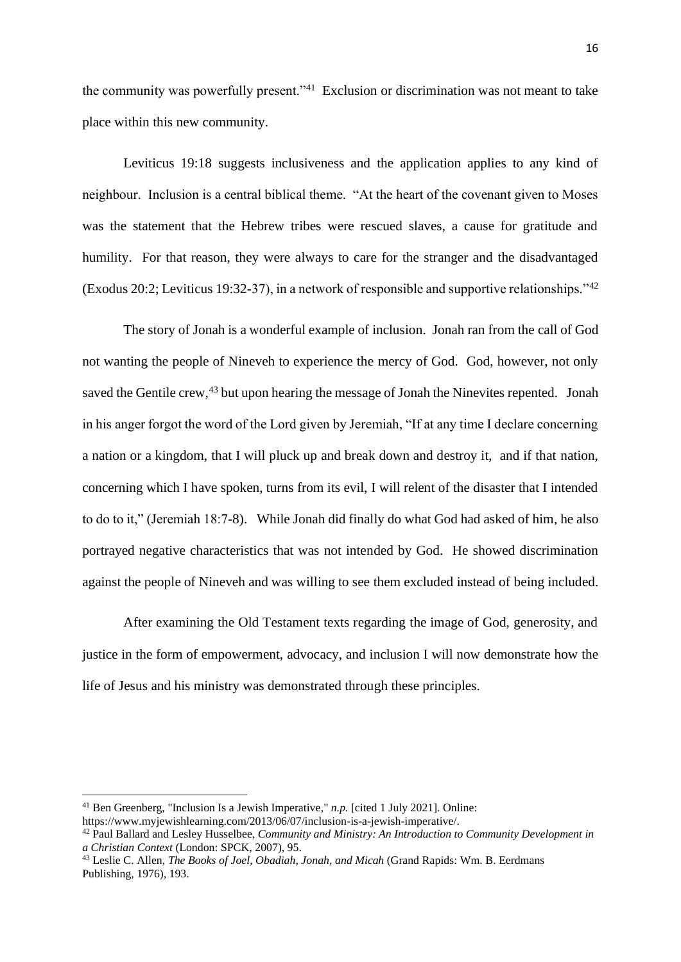the community was powerfully present."<sup>41</sup> Exclusion or discrimination was not meant to take place within this new community.

Leviticus 19:18 suggests inclusiveness and the application applies to any kind of neighbour. Inclusion is a central biblical theme. "At the heart of the covenant given to Moses was the statement that the Hebrew tribes were rescued slaves, a cause for gratitude and humility. For that reason, they were always to care for the stranger and the disadvantaged (Exodus 20:2; Leviticus 19:32-37), in a network of responsible and supportive relationships."<sup>42</sup>

The story of Jonah is a wonderful example of inclusion. Jonah ran from the call of God not wanting the people of Nineveh to experience the mercy of God. God, however, not only saved the Gentile crew,<sup>43</sup> but upon hearing the message of Jonah the Ninevites repented. Jonah in his anger forgot the word of the Lord given by Jeremiah, "If at any time I declare concerning a nation or a kingdom, that I will pluck up and break down and destroy it, and if that nation, concerning which I have spoken, turns from its evil, I will relent of the disaster that I intended to do to it," (Jeremiah 18:7-8). While Jonah did finally do what God had asked of him, he also portrayed negative characteristics that was not intended by God. He showed discrimination against the people of Nineveh and was willing to see them excluded instead of being included.

After examining the Old Testament texts regarding the image of God, generosity, and justice in the form of empowerment, advocacy, and inclusion I will now demonstrate how the life of Jesus and his ministry was demonstrated through these principles.

<sup>41</sup> Ben Greenberg, "Inclusion Is a Jewish Imperative," *n.p.* [cited 1 July 2021]. Online: https://www.myjewishlearning.com/2013/06/07/inclusion-is-a-jewish-imperative/.

<sup>42</sup> Paul Ballard and Lesley Husselbee, *Community and Ministry: An Introduction to Community Development in a Christian Context* (London: SPCK, 2007), 95.

<sup>43</sup> Leslie C. Allen, *The Books of Joel, Obadiah, Jonah, and Micah* (Grand Rapids: Wm. B. Eerdmans Publishing, 1976), 193.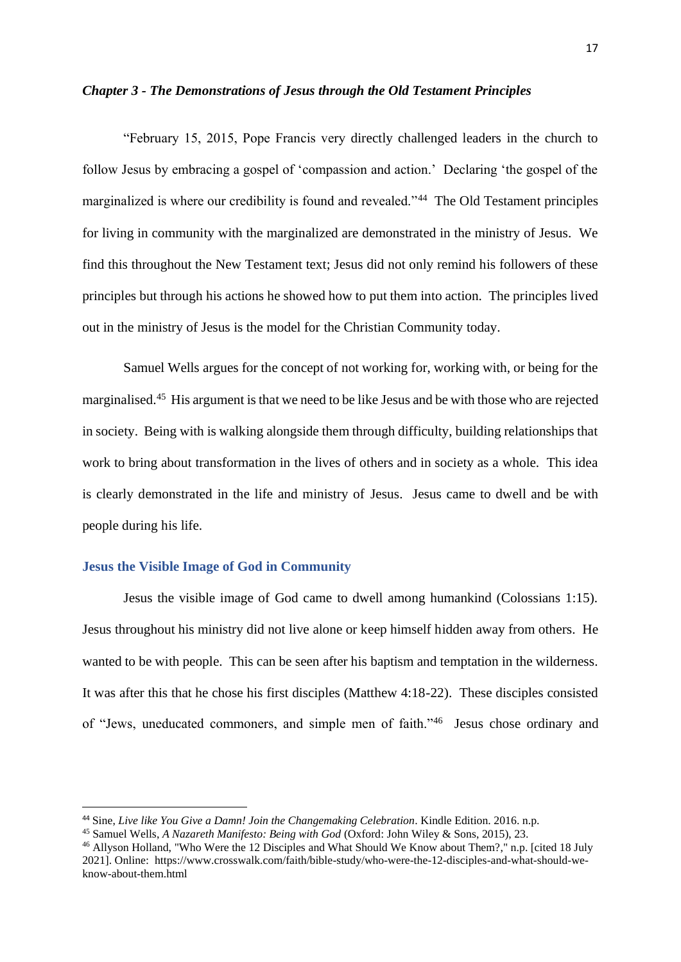#### <span id="page-20-0"></span>*Chapter 3 - The Demonstrations of Jesus through the Old Testament Principles*

"February 15, 2015, Pope Francis very directly challenged leaders in the church to follow Jesus by embracing a gospel of 'compassion and action.' Declaring 'the gospel of the marginalized is where our credibility is found and revealed."<sup>44</sup> The Old Testament principles for living in community with the marginalized are demonstrated in the ministry of Jesus. We find this throughout the New Testament text; Jesus did not only remind his followers of these principles but through his actions he showed how to put them into action. The principles lived out in the ministry of Jesus is the model for the Christian Community today.

Samuel Wells argues for the concept of not working for, working with, or being for the marginalised.<sup>45</sup> His argument is that we need to be like Jesus and be with those who are rejected in society. Being with is walking alongside them through difficulty, building relationships that work to bring about transformation in the lives of others and in society as a whole. This idea is clearly demonstrated in the life and ministry of Jesus. Jesus came to dwell and be with people during his life.

#### <span id="page-20-1"></span>**Jesus the Visible Image of God in Community**

Jesus the visible image of God came to dwell among humankind (Colossians 1:15). Jesus throughout his ministry did not live alone or keep himself hidden away from others. He wanted to be with people. This can be seen after his baptism and temptation in the wilderness. It was after this that he chose his first disciples (Matthew 4:18-22). These disciples consisted of "Jews, uneducated commoners, and simple men of faith."<sup>46</sup> Jesus chose ordinary and

<sup>44</sup> Sine, *Live like You Give a Damn! Join the Changemaking Celebration*. Kindle Edition. 2016. n.p.

<sup>45</sup> Samuel Wells, *A Nazareth Manifesto: Being with God* (Oxford: John Wiley & Sons, 2015), 23.

<sup>46</sup> Allyson Holland, "Who Were the 12 Disciples and What Should We Know about Them?," n.p. [cited 18 July 2021]. Online: https://www.crosswalk.com/faith/bible-study/who-were-the-12-disciples-and-what-should-weknow-about-them.html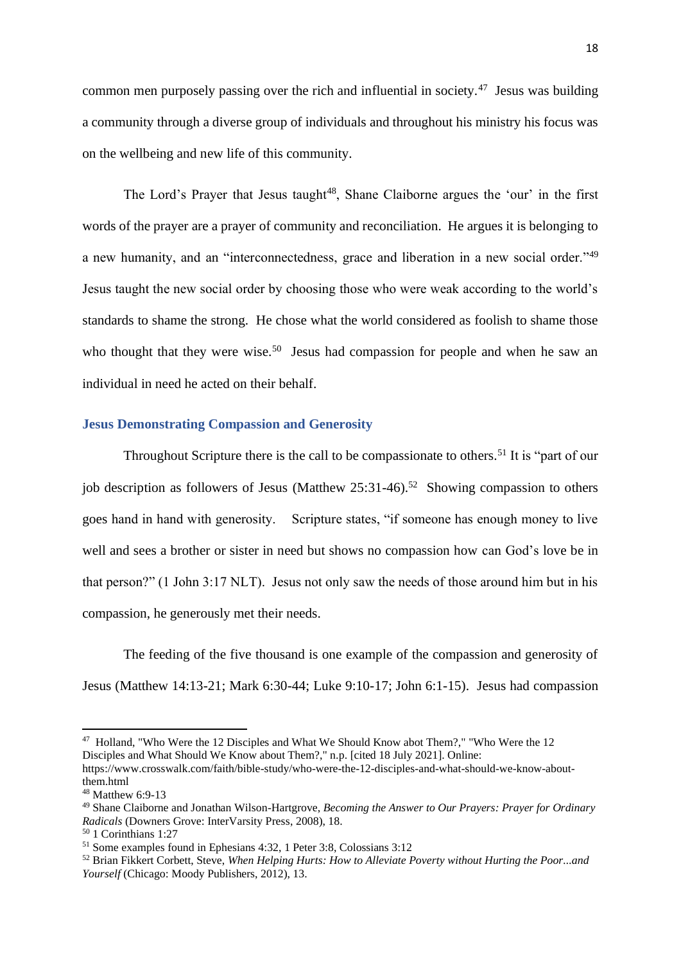common men purposely passing over the rich and influential in society. $47$  Jesus was building a community through a diverse group of individuals and throughout his ministry his focus was on the wellbeing and new life of this community.

The Lord's Prayer that Jesus taught<sup>48</sup>, Shane Claiborne argues the 'our' in the first words of the prayer are a prayer of community and reconciliation. He argues it is belonging to a new humanity, and an "interconnectedness, grace and liberation in a new social order."<sup>49</sup> Jesus taught the new social order by choosing those who were weak according to the world's standards to shame the strong. He chose what the world considered as foolish to shame those who thought that they were wise.<sup>50</sup> Jesus had compassion for people and when he saw an individual in need he acted on their behalf.

# <span id="page-21-0"></span>**Jesus Demonstrating Compassion and Generosity**

Throughout Scripture there is the call to be compassionate to others.<sup>51</sup> It is "part of our job description as followers of Jesus (Matthew  $25:31-46$ ).<sup>52</sup> Showing compassion to others goes hand in hand with generosity. Scripture states, "if someone has enough money to live well and sees a brother or sister in need but shows no compassion how can God's love be in that person?" (1 John 3:17 NLT). Jesus not only saw the needs of those around him but in his compassion, he generously met their needs.

The feeding of the five thousand is one example of the compassion and generosity of Jesus (Matthew 14:13-21; Mark 6:30-44; Luke 9:10-17; John 6:1-15). Jesus had compassion

<sup>47</sup> Holland, "Who Were the 12 Disciples and What We Should Know abot Them?," "Who Were the 12 Disciples and What Should We Know about Them?," n.p. [cited 18 July 2021]. Online:

https://www.crosswalk.com/faith/bible-study/who-were-the-12-disciples-and-what-should-we-know-aboutthem.html

<sup>48</sup> Matthew 6:9-13

<sup>49</sup> Shane Claiborne and Jonathan Wilson-Hartgrove, *Becoming the Answer to Our Prayers: Prayer for Ordinary Radicals* (Downers Grove: InterVarsity Press, 2008), 18.

<sup>50</sup> 1 Corinthians 1:27

<sup>51</sup> Some examples found in Ephesians 4:32, 1 Peter 3:8, Colossians 3:12

<sup>52</sup> Brian Fikkert Corbett, Steve, *When Helping Hurts: How to Alleviate Poverty without Hurting the Poor...and Yourself* (Chicago: Moody Publishers, 2012), 13.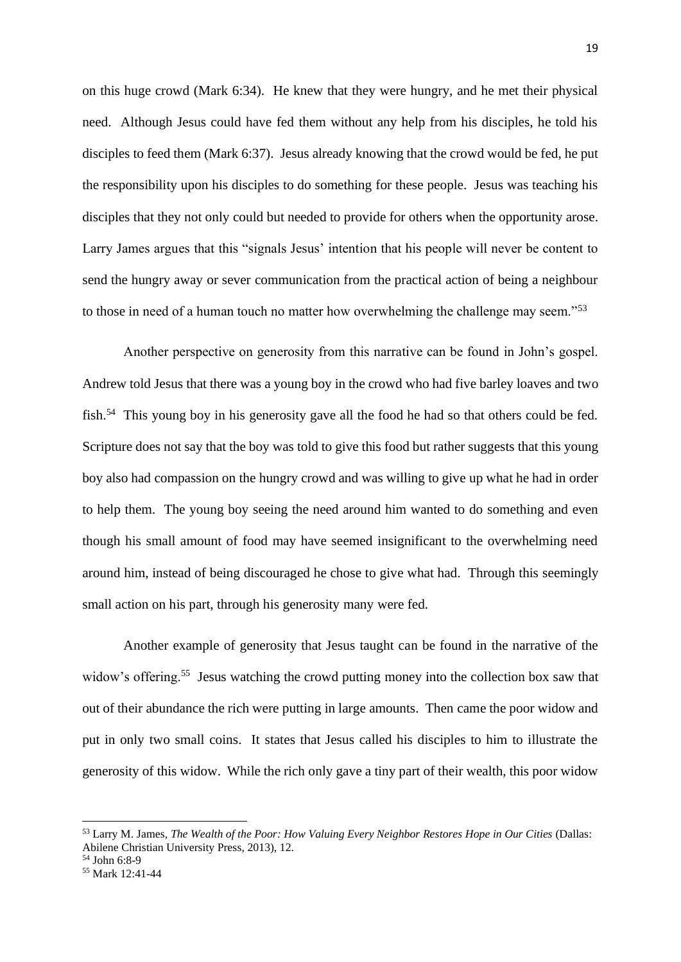on this huge crowd (Mark 6:34). He knew that they were hungry, and he met their physical need. Although Jesus could have fed them without any help from his disciples, he told his disciples to feed them (Mark 6:37). Jesus already knowing that the crowd would be fed, he put the responsibility upon his disciples to do something for these people. Jesus was teaching his disciples that they not only could but needed to provide for others when the opportunity arose. Larry James argues that this "signals Jesus' intention that his people will never be content to send the hungry away or sever communication from the practical action of being a neighbour to those in need of a human touch no matter how overwhelming the challenge may seem."<sup>53</sup>

Another perspective on generosity from this narrative can be found in John's gospel. Andrew told Jesus that there was a young boy in the crowd who had five barley loaves and two fish.<sup>54</sup> This young boy in his generosity gave all the food he had so that others could be fed. Scripture does not say that the boy was told to give this food but rather suggests that this young boy also had compassion on the hungry crowd and was willing to give up what he had in order to help them. The young boy seeing the need around him wanted to do something and even though his small amount of food may have seemed insignificant to the overwhelming need around him, instead of being discouraged he chose to give what had. Through this seemingly small action on his part, through his generosity many were fed.

Another example of generosity that Jesus taught can be found in the narrative of the widow's offering.<sup>55</sup> Jesus watching the crowd putting money into the collection box saw that out of their abundance the rich were putting in large amounts. Then came the poor widow and put in only two small coins. It states that Jesus called his disciples to him to illustrate the generosity of this widow. While the rich only gave a tiny part of their wealth, this poor widow

<sup>53</sup> Larry M. James, *The Wealth of the Poor: How Valuing Every Neighbor Restores Hope in Our Cities* (Dallas: Abilene Christian University Press, 2013), 12.

<sup>54</sup> John 6:8-9

<sup>55</sup> Mark 12:41-44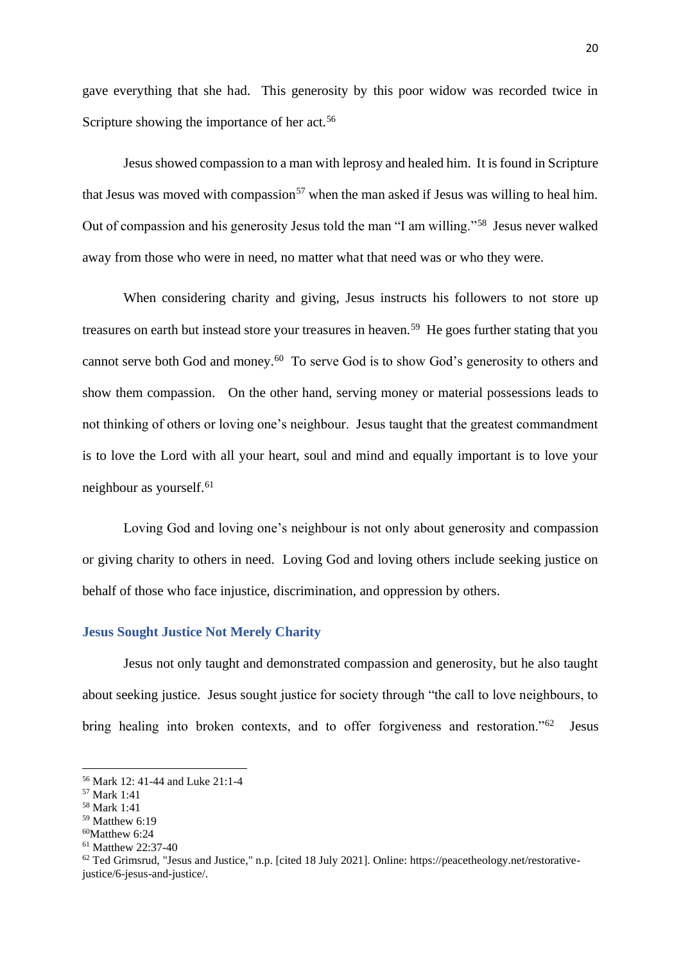gave everything that she had. This generosity by this poor widow was recorded twice in Scripture showing the importance of her act.<sup>56</sup>

Jesus showed compassion to a man with leprosy and healed him. It is found in Scripture that Jesus was moved with compassion<sup>57</sup> when the man asked if Jesus was willing to heal him. Out of compassion and his generosity Jesus told the man "I am willing."<sup>58</sup> Jesus never walked away from those who were in need, no matter what that need was or who they were.

When considering charity and giving, Jesus instructs his followers to not store up treasures on earth but instead store your treasures in heaven.<sup>59</sup> He goes further stating that you cannot serve both God and money.<sup>60</sup> To serve God is to show God's generosity to others and show them compassion. On the other hand, serving money or material possessions leads to not thinking of others or loving one's neighbour. Jesus taught that the greatest commandment is to love the Lord with all your heart, soul and mind and equally important is to love your neighbour as yourself.<sup>61</sup>

Loving God and loving one's neighbour is not only about generosity and compassion or giving charity to others in need. Loving God and loving others include seeking justice on behalf of those who face injustice, discrimination, and oppression by others.

# <span id="page-23-0"></span>**Jesus Sought Justice Not Merely Charity**

Jesus not only taught and demonstrated compassion and generosity, but he also taught about seeking justice. Jesus sought justice for society through "the call to love neighbours, to bring healing into broken contexts, and to offer forgiveness and restoration."<sup>62</sup> Jesus

<sup>56</sup> Mark 12: 41-44 and Luke 21:1-4

<sup>57</sup> Mark 1:41

<sup>58</sup> Mark 1:41

<sup>59</sup> Matthew 6:19

 $60$ Matthew 6:24

<sup>61</sup> Matthew 22:37-40

<sup>62</sup> Ted Grimsrud, "Jesus and Justice," n.p. [cited 18 July 2021]. Online: https://peacetheology.net/restorativejustice/6-jesus-and-justice/.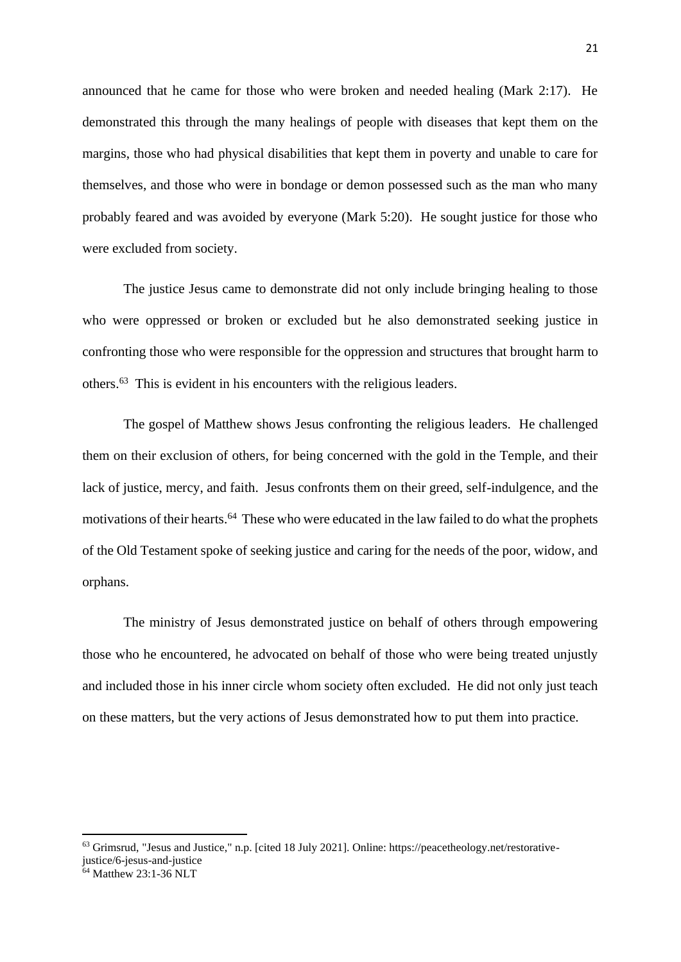announced that he came for those who were broken and needed healing (Mark 2:17). He demonstrated this through the many healings of people with diseases that kept them on the margins, those who had physical disabilities that kept them in poverty and unable to care for themselves, and those who were in bondage or demon possessed such as the man who many probably feared and was avoided by everyone (Mark 5:20). He sought justice for those who were excluded from society.

The justice Jesus came to demonstrate did not only include bringing healing to those who were oppressed or broken or excluded but he also demonstrated seeking justice in confronting those who were responsible for the oppression and structures that brought harm to others.<sup>63</sup> This is evident in his encounters with the religious leaders.

The gospel of Matthew shows Jesus confronting the religious leaders. He challenged them on their exclusion of others, for being concerned with the gold in the Temple, and their lack of justice, mercy, and faith. Jesus confronts them on their greed, self-indulgence, and the motivations of their hearts.<sup>64</sup> These who were educated in the law failed to do what the prophets of the Old Testament spoke of seeking justice and caring for the needs of the poor, widow, and orphans.

The ministry of Jesus demonstrated justice on behalf of others through empowering those who he encountered, he advocated on behalf of those who were being treated unjustly and included those in his inner circle whom society often excluded. He did not only just teach on these matters, but the very actions of Jesus demonstrated how to put them into practice.

<sup>63</sup> Grimsrud, "Jesus and Justice," n.p. [cited 18 July 2021]. Online: https://peacetheology.net/restorativejustice/6-jesus-and-justice

 $64$  Matthew 23:1-36 NLT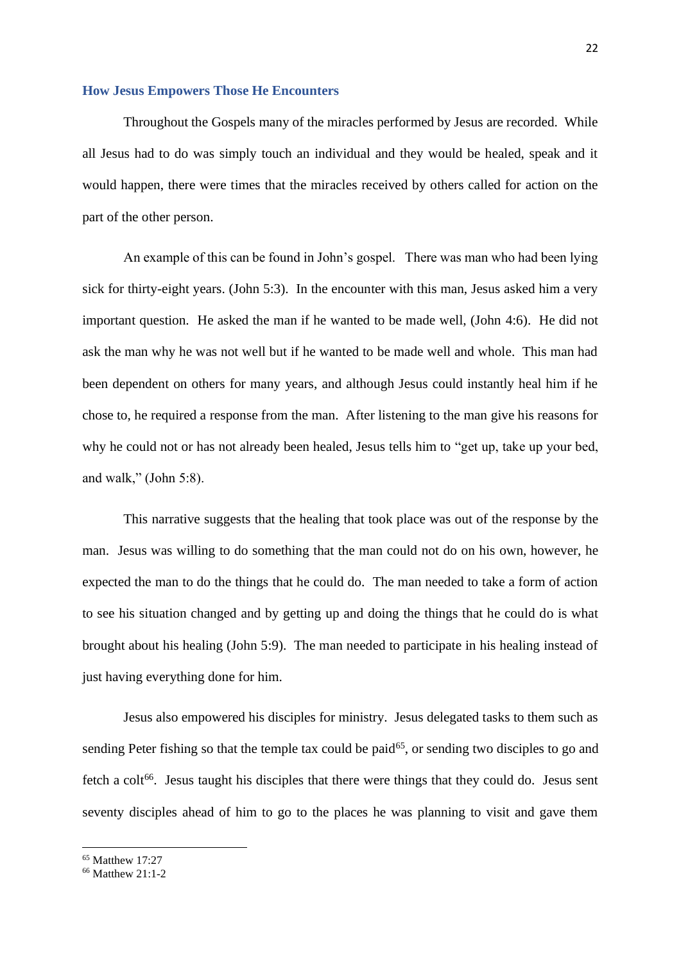#### <span id="page-25-0"></span>**How Jesus Empowers Those He Encounters**

Throughout the Gospels many of the miracles performed by Jesus are recorded. While all Jesus had to do was simply touch an individual and they would be healed, speak and it would happen, there were times that the miracles received by others called for action on the part of the other person.

An example of this can be found in John's gospel. There was man who had been lying sick for thirty-eight years. (John 5:3). In the encounter with this man, Jesus asked him a very important question. He asked the man if he wanted to be made well, (John 4:6). He did not ask the man why he was not well but if he wanted to be made well and whole. This man had been dependent on others for many years, and although Jesus could instantly heal him if he chose to, he required a response from the man. After listening to the man give his reasons for why he could not or has not already been healed, Jesus tells him to "get up, take up your bed, and walk," (John 5:8).

This narrative suggests that the healing that took place was out of the response by the man. Jesus was willing to do something that the man could not do on his own, however, he expected the man to do the things that he could do. The man needed to take a form of action to see his situation changed and by getting up and doing the things that he could do is what brought about his healing (John 5:9). The man needed to participate in his healing instead of just having everything done for him.

Jesus also empowered his disciples for ministry. Jesus delegated tasks to them such as sending Peter fishing so that the temple tax could be paid $65$ , or sending two disciples to go and fetch a colt<sup>66</sup>. Jesus taught his disciples that there were things that they could do. Jesus sent seventy disciples ahead of him to go to the places he was planning to visit and gave them

 $65$  Matthew  $17.27$ 

<sup>66</sup> Matthew 21:1-2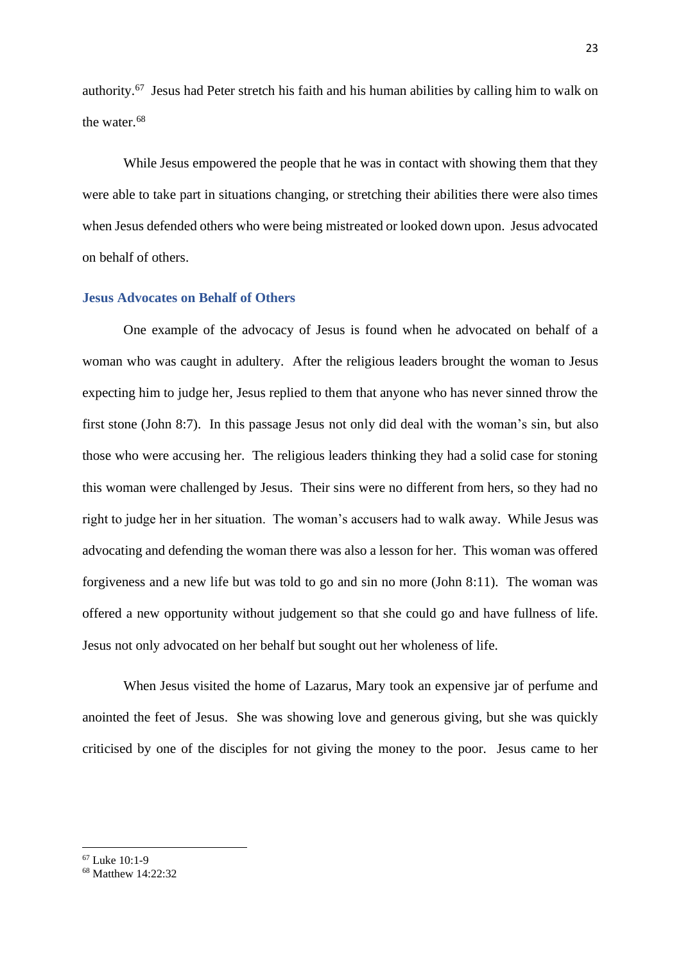authority.<sup>67</sup> Jesus had Peter stretch his faith and his human abilities by calling him to walk on the water.<sup>68</sup>

While Jesus empowered the people that he was in contact with showing them that they were able to take part in situations changing, or stretching their abilities there were also times when Jesus defended others who were being mistreated or looked down upon. Jesus advocated on behalf of others.

#### <span id="page-26-0"></span>**Jesus Advocates on Behalf of Others**

One example of the advocacy of Jesus is found when he advocated on behalf of a woman who was caught in adultery. After the religious leaders brought the woman to Jesus expecting him to judge her, Jesus replied to them that anyone who has never sinned throw the first stone (John 8:7). In this passage Jesus not only did deal with the woman's sin, but also those who were accusing her. The religious leaders thinking they had a solid case for stoning this woman were challenged by Jesus. Their sins were no different from hers, so they had no right to judge her in her situation. The woman's accusers had to walk away. While Jesus was advocating and defending the woman there was also a lesson for her. This woman was offered forgiveness and a new life but was told to go and sin no more (John 8:11). The woman was offered a new opportunity without judgement so that she could go and have fullness of life. Jesus not only advocated on her behalf but sought out her wholeness of life.

When Jesus visited the home of Lazarus, Mary took an expensive jar of perfume and anointed the feet of Jesus. She was showing love and generous giving, but she was quickly criticised by one of the disciples for not giving the money to the poor. Jesus came to her

<sup>67</sup> Luke 10:1-9

<sup>68</sup> Matthew 14:22:32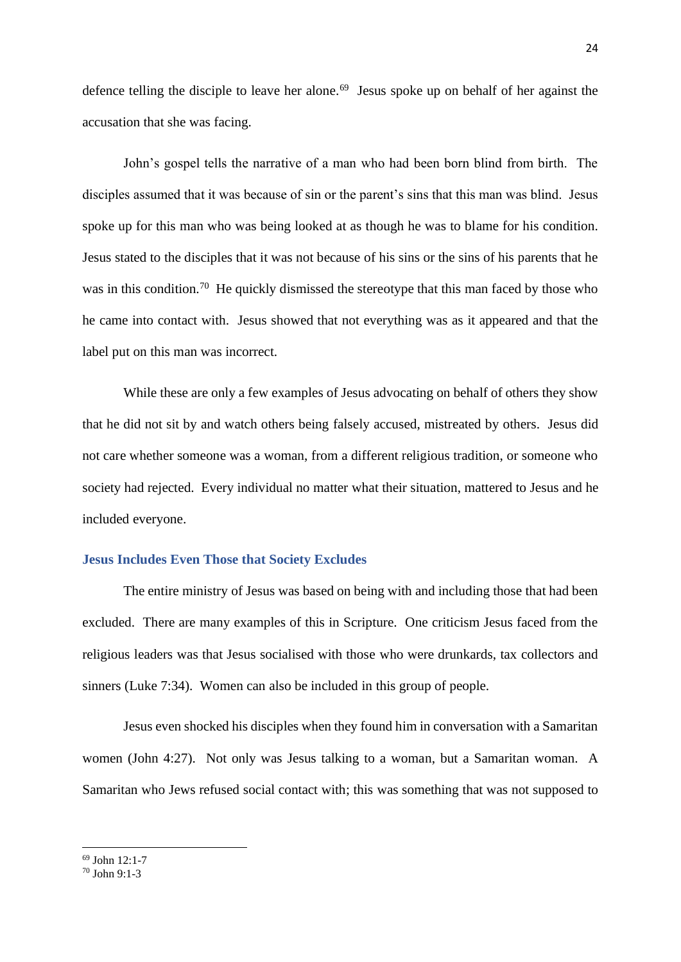defence telling the disciple to leave her alone.<sup>69</sup> Jesus spoke up on behalf of her against the accusation that she was facing.

John's gospel tells the narrative of a man who had been born blind from birth. The disciples assumed that it was because of sin or the parent's sins that this man was blind. Jesus spoke up for this man who was being looked at as though he was to blame for his condition. Jesus stated to the disciples that it was not because of his sins or the sins of his parents that he was in this condition.<sup>70</sup> He quickly dismissed the stereotype that this man faced by those who he came into contact with. Jesus showed that not everything was as it appeared and that the label put on this man was incorrect.

While these are only a few examples of Jesus advocating on behalf of others they show that he did not sit by and watch others being falsely accused, mistreated by others. Jesus did not care whether someone was a woman, from a different religious tradition, or someone who society had rejected. Every individual no matter what their situation, mattered to Jesus and he included everyone.

#### <span id="page-27-0"></span>**Jesus Includes Even Those that Society Excludes**

The entire ministry of Jesus was based on being with and including those that had been excluded. There are many examples of this in Scripture. One criticism Jesus faced from the religious leaders was that Jesus socialised with those who were drunkards, tax collectors and sinners (Luke 7:34). Women can also be included in this group of people.

Jesus even shocked his disciples when they found him in conversation with a Samaritan women (John 4:27). Not only was Jesus talking to a woman, but a Samaritan woman. A Samaritan who Jews refused social contact with; this was something that was not supposed to

<sup>69</sup> John 12:1-7

 $70$  John 9.1-3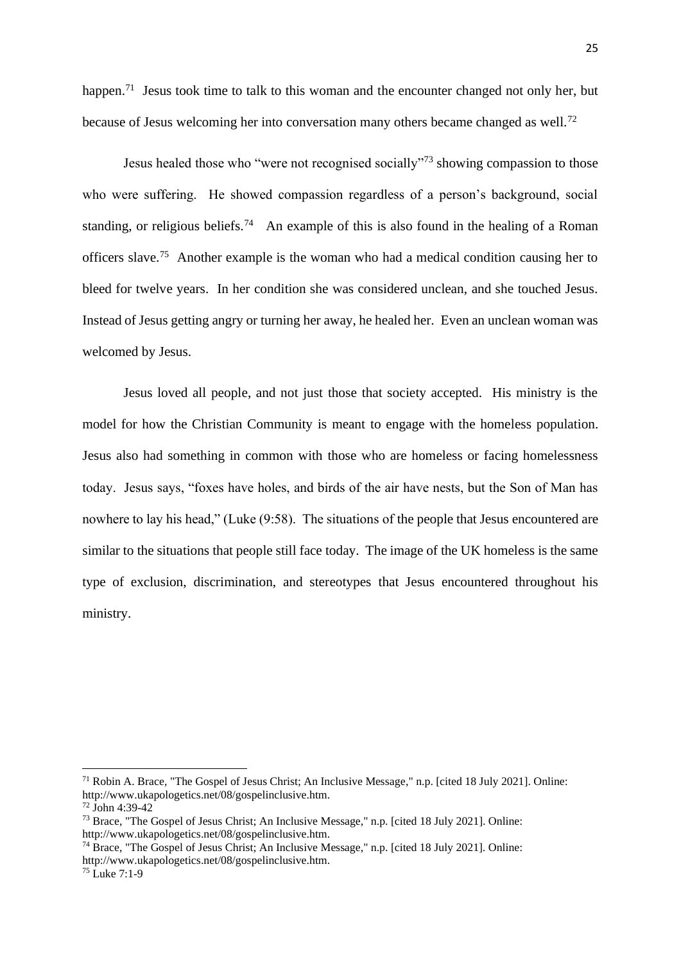25

happen.<sup>71</sup> Jesus took time to talk to this woman and the encounter changed not only her, but because of Jesus welcoming her into conversation many others became changed as well.<sup>72</sup>

Jesus healed those who "were not recognised socially"<sup>73</sup> showing compassion to those who were suffering. He showed compassion regardless of a person's background, social standing, or religious beliefs.<sup>74</sup> An example of this is also found in the healing of a Roman officers slave.<sup>75</sup> Another example is the woman who had a medical condition causing her to bleed for twelve years. In her condition she was considered unclean, and she touched Jesus. Instead of Jesus getting angry or turning her away, he healed her. Even an unclean woman was welcomed by Jesus.

Jesus loved all people, and not just those that society accepted. His ministry is the model for how the Christian Community is meant to engage with the homeless population. Jesus also had something in common with those who are homeless or facing homelessness today. Jesus says, "foxes have holes, and birds of the air have nests, but the Son of Man has nowhere to lay his head," (Luke (9:58). The situations of the people that Jesus encountered are similar to the situations that people still face today. The image of the UK homeless is the same type of exclusion, discrimination, and stereotypes that Jesus encountered throughout his ministry.

<sup>71</sup> Robin A. Brace, "The Gospel of Jesus Christ; An Inclusive Message," n.p. [cited 18 July 2021]. Online: http://www.ukapologetics.net/08/gospelinclusive.htm.

<sup>72</sup> John 4:39-42

<sup>73</sup> Brace, "The Gospel of Jesus Christ; An Inclusive Message," n.p. [cited 18 July 2021]. Online: http://www.ukapologetics.net/08/gospelinclusive.htm.

<sup>74</sup> Brace, "The Gospel of Jesus Christ; An Inclusive Message," n.p. [cited 18 July 2021]. Online: http://www.ukapologetics.net/08/gospelinclusive.htm.

 $^{75}$  Luke 7:1-9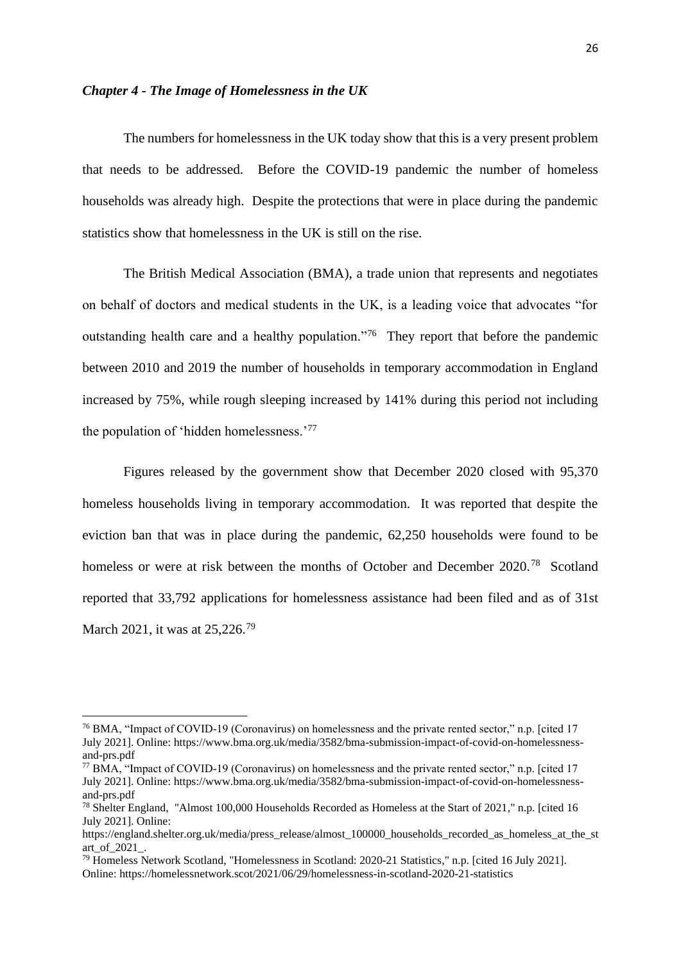#### <span id="page-29-0"></span>*Chapter 4 - The Image of Homelessness in the UK*

The numbers for homelessness in the UK today show that this is a very present problem that needs to be addressed. Before the COVID-19 pandemic the number of homeless households was already high. Despite the protections that were in place during the pandemic statistics show that homelessness in the UK is still on the rise.

The British Medical Association (BMA), a trade union that represents and negotiates on behalf of doctors and medical students in the UK, is a leading voice that advocates "for outstanding health care and a healthy population."<sup>76</sup> They report that before the pandemic between 2010 and 2019 the number of households in temporary accommodation in England increased by 75%, while rough sleeping increased by 141% during this period not including the population of 'hidden homelessness.'<sup>77</sup>

Figures released by the government show that December 2020 closed with 95,370 homeless households living in temporary accommodation. It was reported that despite the eviction ban that was in place during the pandemic, 62,250 households were found to be homeless or were at risk between the months of October and December 2020.<sup>78</sup> Scotland reported that 33,792 applications for homelessness assistance had been filed and as of 31st March 2021, it was at 25,226.<sup>79</sup>

<sup>76</sup> BMA, "Impact of COVID-19 (Coronavirus) on homelessness and the private rented sector," n.p. [cited 17 July 2021]. Online: https://www.bma.org.uk/media/3582/bma-submission-impact-of-covid-on-homelessnessand-prs.pdf

<sup>77</sup> BMA, "Impact of COVID-19 (Coronavirus) on homelessness and the private rented sector," n.p. [cited 17 July 2021]. Online: https://www.bma.org.uk/media/3582/bma-submission-impact-of-covid-on-homelessnessand-prs.pdf

<sup>78</sup> Shelter England, "Almost 100,000 Households Recorded as Homeless at the Start of 2021," n.p. [cited 16 July 2021]. Online:

https://england.shelter.org.uk/media/press\_release/almost\_100000\_households\_recorded\_as\_homeless\_at\_the\_st art\_of\_2021\_.

<sup>79</sup> Homeless Network Scotland, "Homelessness in Scotland: 2020-21 Statistics," n.p. [cited 16 July 2021]. Online: https://homelessnetwork.scot/2021/06/29/homelessness-in-scotland-2020-21-statistics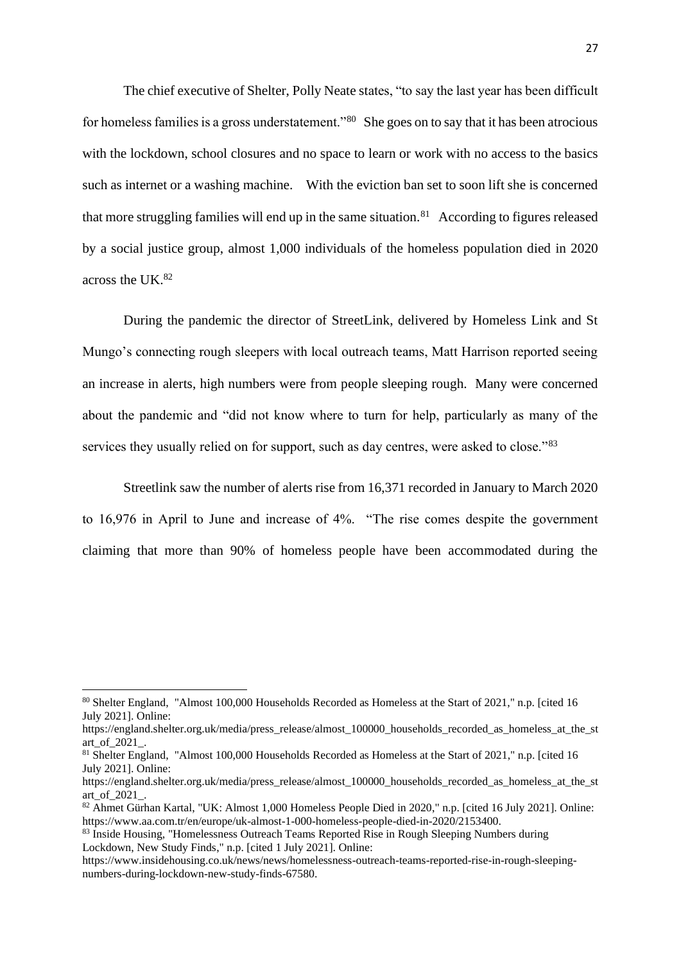The chief executive of Shelter, Polly Neate states, "to say the last year has been difficult for homeless families is a gross understatement."<sup>80</sup> She goes on to say that it has been atrocious with the lockdown, school closures and no space to learn or work with no access to the basics such as internet or a washing machine. With the eviction ban set to soon lift she is concerned that more struggling families will end up in the same situation. $81$  According to figures released by a social justice group, almost 1,000 individuals of the homeless population died in 2020 across the UK.<sup>82</sup>

During the pandemic the director of StreetLink, delivered by Homeless Link and St Mungo's connecting rough sleepers with local outreach teams, Matt Harrison reported seeing an increase in alerts, high numbers were from people sleeping rough. Many were concerned about the pandemic and "did not know where to turn for help, particularly as many of the services they usually relied on for support, such as day centres, were asked to close."<sup>83</sup>

Streetlink saw the number of alerts rise from 16,371 recorded in January to March 2020 to 16,976 in April to June and increase of 4%. "The rise comes despite the government claiming that more than 90% of homeless people have been accommodated during the

<sup>80</sup> Shelter England, "Almost 100,000 Households Recorded as Homeless at the Start of 2021," n.p. [cited 16 July 2021]. Online:

https://england.shelter.org.uk/media/press\_release/almost\_100000\_households\_recorded\_as\_homeless\_at\_the\_st art\_of\_2021\_.

<sup>81</sup> Shelter England, "Almost 100,000 Households Recorded as Homeless at the Start of 2021," n.p. [cited 16 July 2021]. Online:

https://england.shelter.org.uk/media/press\_release/almost\_100000\_households\_recorded\_as\_homeless\_at\_the\_st art\_of\_2021\_.

<sup>82</sup> Ahmet Gürhan Kartal, "UK: Almost 1,000 Homeless People Died in 2020," n.p. [cited 16 July 2021]. Online: https://www.aa.com.tr/en/europe/uk-almost-1-000-homeless-people-died-in-2020/2153400.

<sup>&</sup>lt;sup>83</sup> Inside Housing, "Homelessness Outreach Teams Reported Rise in Rough Sleeping Numbers during Lockdown, New Study Finds," n.p. [cited 1 July 2021]. Online:

https://www.insidehousing.co.uk/news/news/homelessness-outreach-teams-reported-rise-in-rough-sleepingnumbers-during-lockdown-new-study-finds-67580.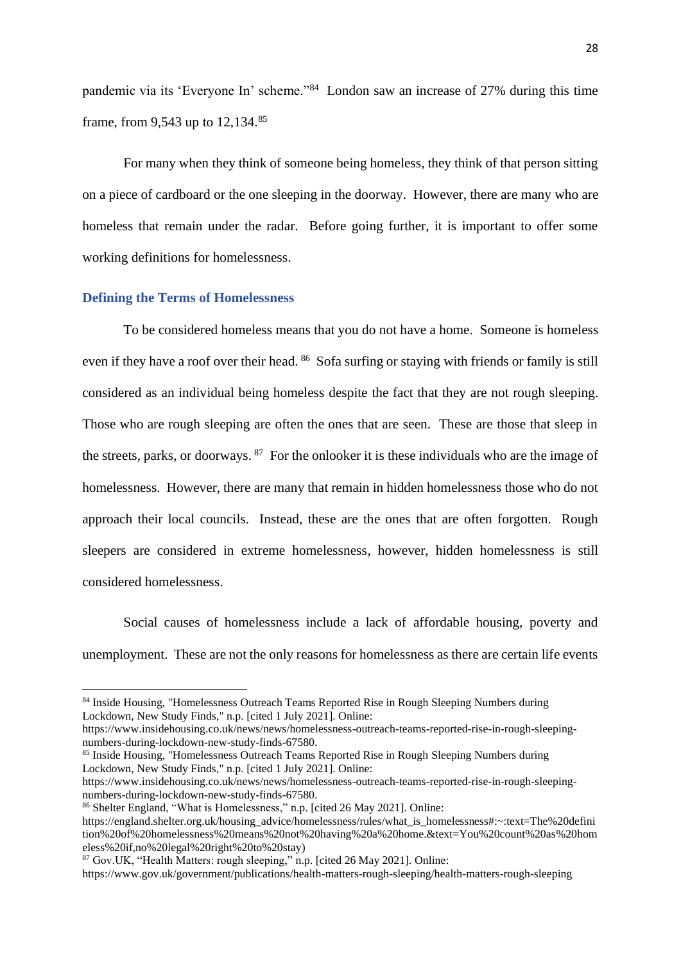pandemic via its 'Everyone In' scheme."<sup>84</sup> London saw an increase of 27% during this time frame, from 9,543 up to 12,134.<sup>85</sup>

For many when they think of someone being homeless, they think of that person sitting on a piece of cardboard or the one sleeping in the doorway. However, there are many who are homeless that remain under the radar. Before going further, it is important to offer some working definitions for homelessness.

#### <span id="page-31-0"></span>**Defining the Terms of Homelessness**

To be considered homeless means that you do not have a home. Someone is homeless even if they have a roof over their head. <sup>86</sup> Sofa surfing or staying with friends or family is still considered as an individual being homeless despite the fact that they are not rough sleeping. Those who are rough sleeping are often the ones that are seen. These are those that sleep in the streets, parks, or doorways. <sup>87</sup> For the onlooker it is these individuals who are the image of homelessness. However, there are many that remain in hidden homelessness those who do not approach their local councils. Instead, these are the ones that are often forgotten. Rough sleepers are considered in extreme homelessness, however, hidden homelessness is still considered homelessness.

Social causes of homelessness include a lack of affordable housing, poverty and unemployment. These are not the only reasons for homelessness as there are certain life events

<sup>&</sup>lt;sup>84</sup> Inside Housing, "Homelessness Outreach Teams Reported Rise in Rough Sleeping Numbers during Lockdown, New Study Finds," n.p. [cited 1 July 2021]. Online:

https://www.insidehousing.co.uk/news/news/homelessness-outreach-teams-reported-rise-in-rough-sleepingnumbers-during-lockdown-new-study-finds-67580.

<sup>&</sup>lt;sup>85</sup> Inside Housing, "Homelessness Outreach Teams Reported Rise in Rough Sleeping Numbers during Lockdown, New Study Finds," n.p. [cited 1 July 2021]. Online:

https://www.insidehousing.co.uk/news/news/homelessness-outreach-teams-reported-rise-in-rough-sleepingnumbers-during-lockdown-new-study-finds-67580.

<sup>86</sup> Shelter England, "What is Homelessness," n.p. [cited 26 May 2021]. Online:

https://england.shelter.org.uk/housing\_advice/homelessness/rules/what\_is\_homelessness#:~:text=The%20defini tion%20of%20homelessness%20means%20not%20having%20a%20home.&text=You%20count%20as%20hom eless%20if,no%20legal%20right%20to%20stay)

<sup>87</sup> Gov.UK, "Health Matters: rough sleeping," n.p. [cited 26 May 2021]. Online:

https://www.gov.uk/government/publications/health-matters-rough-sleeping/health-matters-rough-sleeping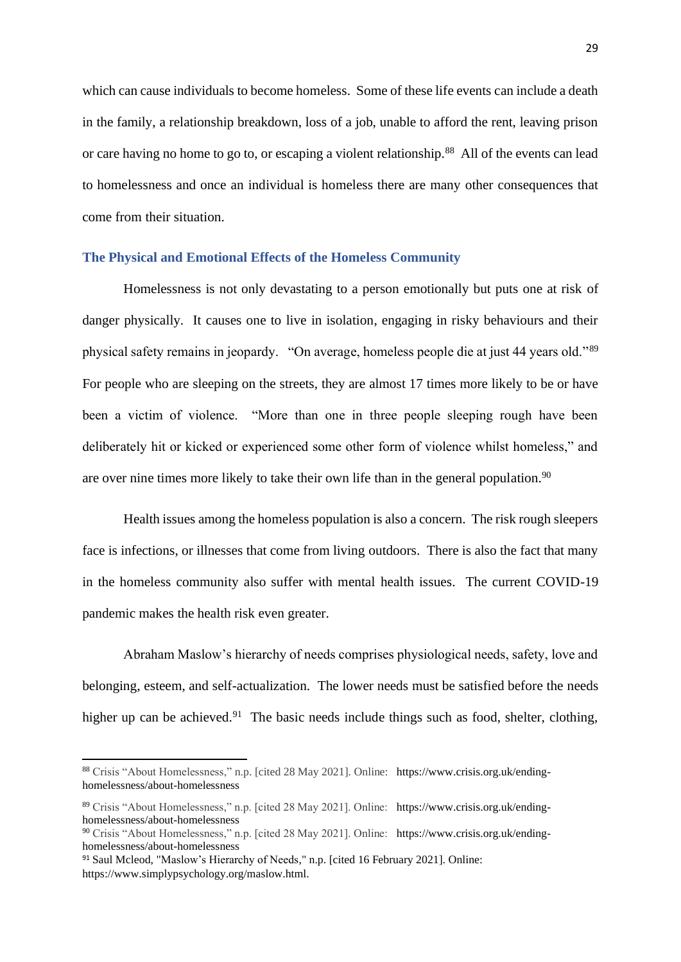which can cause individuals to become homeless. Some of these life events can include a death in the family, a relationship breakdown, loss of a job, unable to afford the rent, leaving prison or care having no home to go to, or escaping a violent relationship.<sup>88</sup> All of the events can lead to homelessness and once an individual is homeless there are many other consequences that come from their situation.

# <span id="page-32-0"></span>**The Physical and Emotional Effects of the Homeless Community**

Homelessness is not only devastating to a person emotionally but puts one at risk of danger physically. It causes one to live in isolation, engaging in risky behaviours and their physical safety remains in jeopardy. "On average, homeless people die at just 44 years old."<sup>89</sup> For people who are sleeping on the streets, they are almost 17 times more likely to be or have been a victim of violence. "More than one in three people sleeping rough have been deliberately hit or kicked or experienced some other form of violence whilst homeless," and are over nine times more likely to take their own life than in the general population.<sup>90</sup>

Health issues among the homeless population is also a concern. The risk rough sleepers face is infections, or illnesses that come from living outdoors. There is also the fact that many in the homeless community also suffer with mental health issues. The current COVID-19 pandemic makes the health risk even greater.

Abraham Maslow's hierarchy of needs comprises physiological needs, safety, love and belonging, esteem, and self-actualization. The lower needs must be satisfied before the needs higher up can be achieved.<sup>91</sup> The basic needs include things such as food, shelter, clothing,

<sup>88</sup> Crisis "About Homelessness," n.p. [cited 28 May 2021]. Online: https://www.crisis.org.uk/endinghomelessness/about-homelessness

<sup>89</sup> Crisis "About Homelessness," n.p. [cited 28 May 2021]. Online: https://www.crisis.org.uk/endinghomelessness/about-homelessness

<sup>90</sup> Crisis "About Homelessness," n.p. [cited 28 May 2021]. Online: https://www.crisis.org.uk/endinghomelessness/about-homelessness

<sup>91</sup> Saul Mcleod, "Maslow's Hierarchy of Needs," n.p. [cited 16 February 2021]. Online: https://www.simplypsychology.org/maslow.html.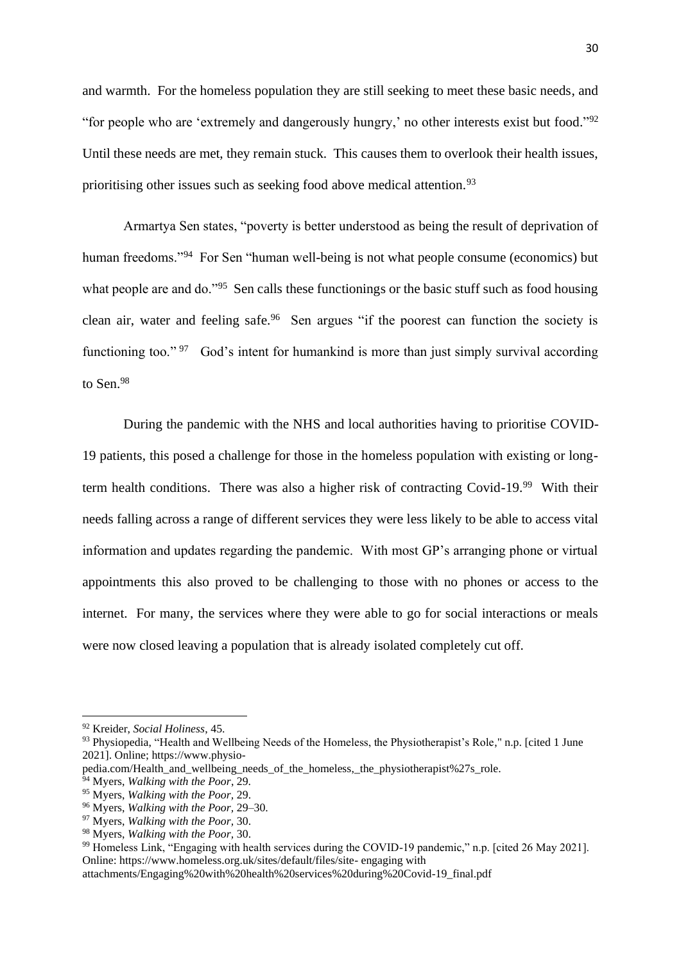and warmth. For the homeless population they are still seeking to meet these basic needs, and "for people who are 'extremely and dangerously hungry,' no other interests exist but food."<sup>92</sup> Until these needs are met, they remain stuck. This causes them to overlook their health issues, prioritising other issues such as seeking food above medical attention.<sup>93</sup>

Armartya Sen states, "poverty is better understood as being the result of deprivation of human freedoms."<sup>94</sup> For Sen "human well-being is not what people consume (economics) but what people are and do."<sup>95</sup> Sen calls these functionings or the basic stuff such as food housing clean air, water and feeling safe.<sup>96</sup> Sen argues "if the poorest can function the society is functioning too."<sup>97</sup> God's intent for humankind is more than just simply survival according to Sen.<sup>98</sup>

During the pandemic with the NHS and local authorities having to prioritise COVID-19 patients, this posed a challenge for those in the homeless population with existing or longterm health conditions. There was also a higher risk of contracting Covid-19.<sup>99</sup> With their needs falling across a range of different services they were less likely to be able to access vital information and updates regarding the pandemic. With most GP's arranging phone or virtual appointments this also proved to be challenging to those with no phones or access to the internet. For many, the services where they were able to go for social interactions or meals were now closed leaving a population that is already isolated completely cut off.

<sup>92</sup> Kreider, *Social Holiness*, 45.

<sup>&</sup>lt;sup>93</sup> Physiopedia, "Health and Wellbeing Needs of the Homeless, the Physiotherapist's Role," n.p. [cited 1 June 2021]. Online; https://www.physio-

pedia.com/Health\_and\_wellbeing\_needs\_of\_the\_homeless,\_the\_physiotherapist%27s\_role.

<sup>94</sup> Myers, *Walking with the Poor*, 29.

<sup>95</sup> Myers, *Walking with the Poor,* 29.

<sup>96</sup> Myers, *Walking with the Poor,* 29–30.

<sup>97</sup> Myers, *Walking with the Poor,* 30.

<sup>98</sup> Myers, *Walking with the Poor,* 30.

<sup>&</sup>lt;sup>99</sup> Homeless Link, "Engaging with health services during the COVID-19 pandemic," n.p. [cited 26 May 2021]. Online: https://www.homeless.org.uk/sites/default/files/site- engaging with

attachments/Engaging%20with%20health%20services%20during%20Covid-19\_final.pdf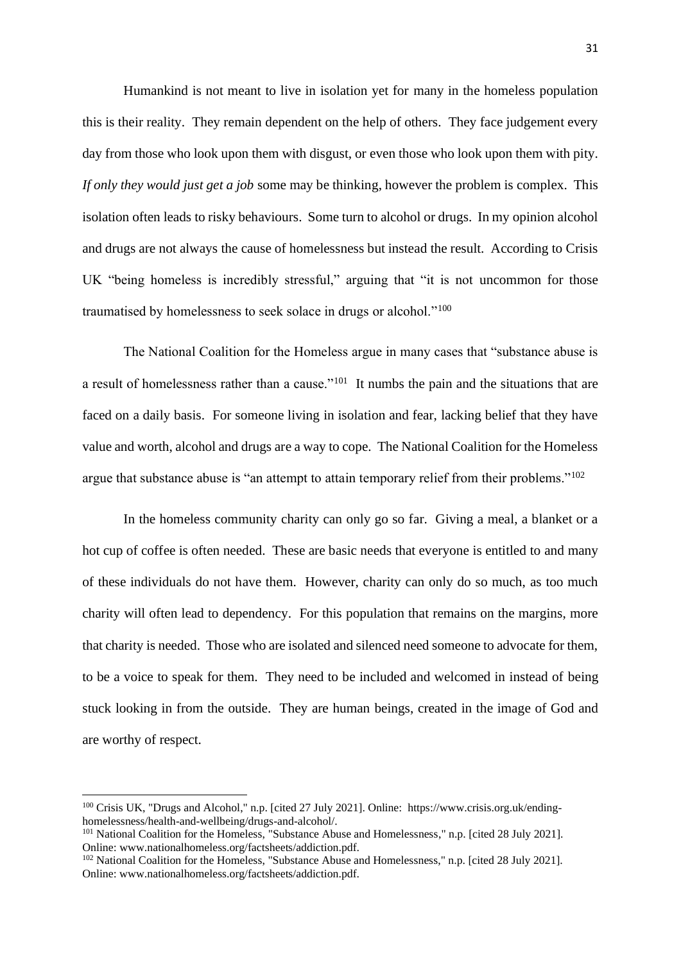Humankind is not meant to live in isolation yet for many in the homeless population this is their reality. They remain dependent on the help of others. They face judgement every day from those who look upon them with disgust, or even those who look upon them with pity. *If only they would just get a job* some may be thinking, however the problem is complex. This isolation often leads to risky behaviours. Some turn to alcohol or drugs. In my opinion alcohol and drugs are not always the cause of homelessness but instead the result. According to Crisis UK "being homeless is incredibly stressful," arguing that "it is not uncommon for those traumatised by homelessness to seek solace in drugs or alcohol."<sup>100</sup>

The National Coalition for the Homeless argue in many cases that "substance abuse is a result of homelessness rather than a cause."<sup>101</sup> It numbs the pain and the situations that are faced on a daily basis. For someone living in isolation and fear, lacking belief that they have value and worth, alcohol and drugs are a way to cope. The National Coalition for the Homeless argue that substance abuse is "an attempt to attain temporary relief from their problems."<sup>102</sup>

In the homeless community charity can only go so far. Giving a meal, a blanket or a hot cup of coffee is often needed. These are basic needs that everyone is entitled to and many of these individuals do not have them. However, charity can only do so much, as too much charity will often lead to dependency. For this population that remains on the margins, more that charity is needed. Those who are isolated and silenced need someone to advocate for them, to be a voice to speak for them. They need to be included and welcomed in instead of being stuck looking in from the outside. They are human beings, created in the image of God and are worthy of respect.

<sup>100</sup> Crisis UK, "Drugs and Alcohol," n.p. [cited 27 July 2021]. Online: https://www.crisis.org.uk/endinghomelessness/health-and-wellbeing/drugs-and-alcohol/.

<sup>&</sup>lt;sup>101</sup> National Coalition for the Homeless, "Substance Abuse and Homelessness," n.p. [cited 28 July 2021]. Online: www.nationalhomeless.org/factsheets/addiction.pdf.

<sup>&</sup>lt;sup>102</sup> National Coalition for the Homeless, "Substance Abuse and Homelessness," n.p. [cited 28 July 2021]. Online: www.nationalhomeless.org/factsheets/addiction.pdf.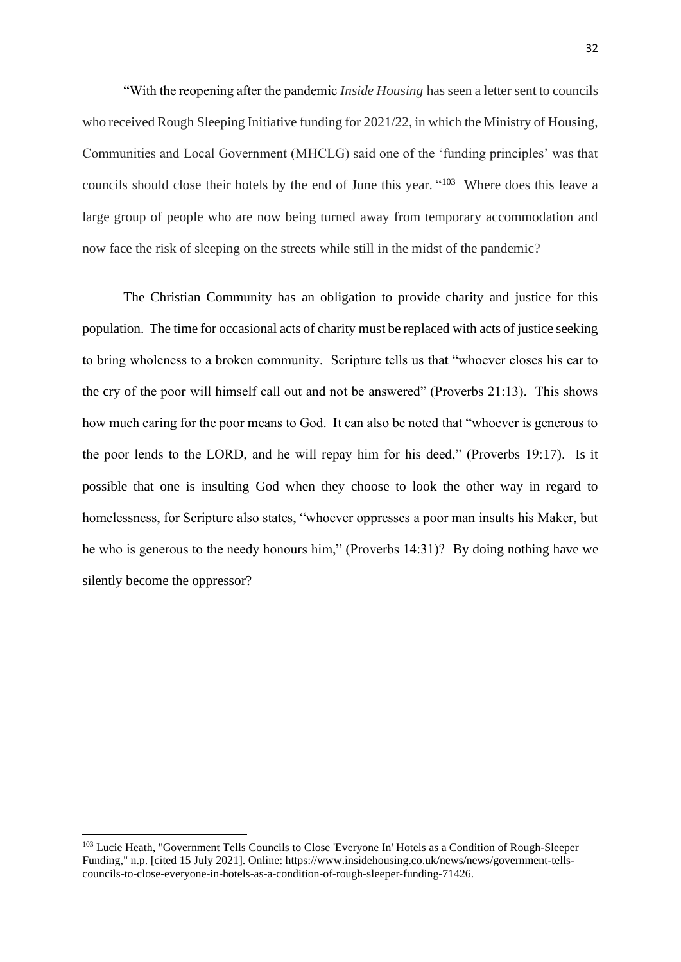"With the reopening after the pandemic *Inside Housing* has seen a letter sent to councils who received Rough Sleeping Initiative funding for 2021/22, in which the Ministry of Housing, Communities and Local Government (MHCLG) said one of the 'funding principles' was that councils should close their hotels by the end of June this year. "<sup>103</sup> Where does this leave a large group of people who are now being turned away from temporary accommodation and now face the risk of sleeping on the streets while still in the midst of the pandemic?

The Christian Community has an obligation to provide charity and justice for this population. The time for occasional acts of charity must be replaced with acts of justice seeking to bring wholeness to a broken community. Scripture tells us that "whoever closes his ear to the cry of the poor will himself call out and not be answered" (Proverbs 21:13). This shows how much caring for the poor means to God. It can also be noted that "whoever is generous to the poor lends to the LORD, and he will repay him for his deed," (Proverbs 19:17). Is it possible that one is insulting God when they choose to look the other way in regard to homelessness, for Scripture also states, "whoever oppresses a poor man insults his Maker, but he who is generous to the needy honours him," (Proverbs 14:31)? By doing nothing have we silently become the oppressor?

<sup>103</sup> Lucie Heath, "Government Tells Councils to Close 'Everyone In' Hotels as a Condition of Rough-Sleeper Funding," n.p. [cited 15 July 2021]. Online: https://www.insidehousing.co.uk/news/news/government-tellscouncils-to-close-everyone-in-hotels-as-a-condition-of-rough-sleeper-funding-71426.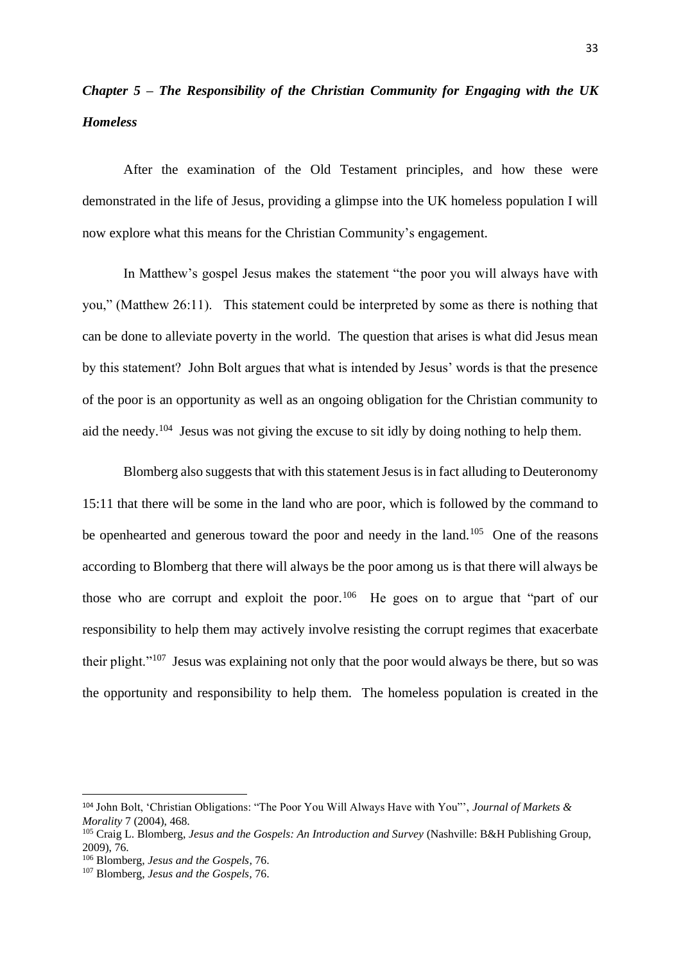# <span id="page-36-0"></span>*Chapter 5 – The Responsibility of the Christian Community for Engaging with the UK Homeless*

After the examination of the Old Testament principles, and how these were demonstrated in the life of Jesus, providing a glimpse into the UK homeless population I will now explore what this means for the Christian Community's engagement.

In Matthew's gospel Jesus makes the statement "the poor you will always have with you," (Matthew 26:11). This statement could be interpreted by some as there is nothing that can be done to alleviate poverty in the world. The question that arises is what did Jesus mean by this statement? John Bolt argues that what is intended by Jesus' words is that the presence of the poor is an opportunity as well as an ongoing obligation for the Christian community to aid the needy.<sup>104</sup> Jesus was not giving the excuse to sit idly by doing nothing to help them.

Blomberg also suggests that with this statement Jesus is in fact alluding to Deuteronomy 15:11 that there will be some in the land who are poor, which is followed by the command to be openhearted and generous toward the poor and needy in the land.<sup>105</sup> One of the reasons according to Blomberg that there will always be the poor among us is that there will always be those who are corrupt and exploit the poor.<sup>106</sup> He goes on to argue that "part of our responsibility to help them may actively involve resisting the corrupt regimes that exacerbate their plight."<sup>107</sup> Jesus was explaining not only that the poor would always be there, but so was the opportunity and responsibility to help them. The homeless population is created in the

<sup>104</sup> John Bolt, 'Christian Obligations: "The Poor You Will Always Have with You"', *Journal of Markets & Morality* 7 (2004), 468.

<sup>105</sup> Craig L. Blomberg, *Jesus and the Gospels: An Introduction and Survey* (Nashville: B&H Publishing Group, 2009), 76.

<sup>106</sup> Blomberg, *Jesus and the Gospels*, 76.

<sup>107</sup> Blomberg, *Jesus and the Gospels,* 76.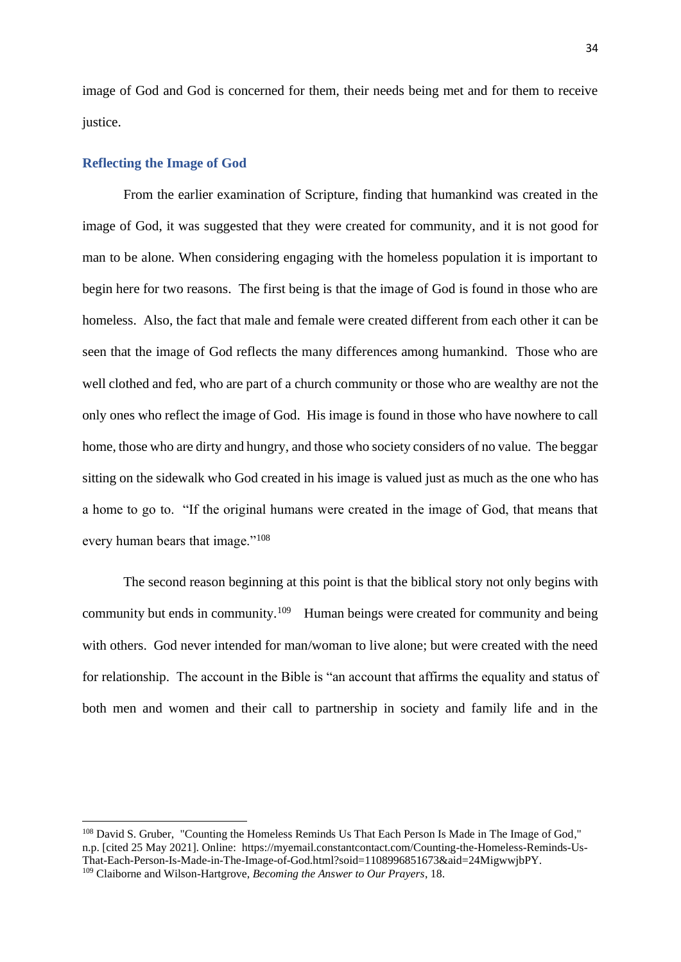image of God and God is concerned for them, their needs being met and for them to receive justice.

#### <span id="page-37-0"></span>**Reflecting the Image of God**

From the earlier examination of Scripture, finding that humankind was created in the image of God, it was suggested that they were created for community, and it is not good for man to be alone. When considering engaging with the homeless population it is important to begin here for two reasons. The first being is that the image of God is found in those who are homeless. Also, the fact that male and female were created different from each other it can be seen that the image of God reflects the many differences among humankind. Those who are well clothed and fed, who are part of a church community or those who are wealthy are not the only ones who reflect the image of God. His image is found in those who have nowhere to call home, those who are dirty and hungry, and those who society considers of no value. The beggar sitting on the sidewalk who God created in his image is valued just as much as the one who has a home to go to. "If the original humans were created in the image of God, that means that every human bears that image."<sup>108</sup>

The second reason beginning at this point is that the biblical story not only begins with community but ends in community.<sup>109</sup> Human beings were created for community and being with others. God never intended for man/woman to live alone; but were created with the need for relationship. The account in the Bible is "an account that affirms the equality and status of both men and women and their call to partnership in society and family life and in the

<sup>108</sup> David S. Gruber, "Counting the Homeless Reminds Us That Each Person Is Made in The Image of God," n.p. [cited 25 May 2021]. Online: https://myemail.constantcontact.com/Counting-the-Homeless-Reminds-Us-That-Each-Person-Is-Made-in-The-Image-of-God.html?soid=1108996851673&aid=24MigwwjbPY. <sup>109</sup> Claiborne and Wilson-Hartgrove, *Becoming the Answer to Our Prayers*, 18.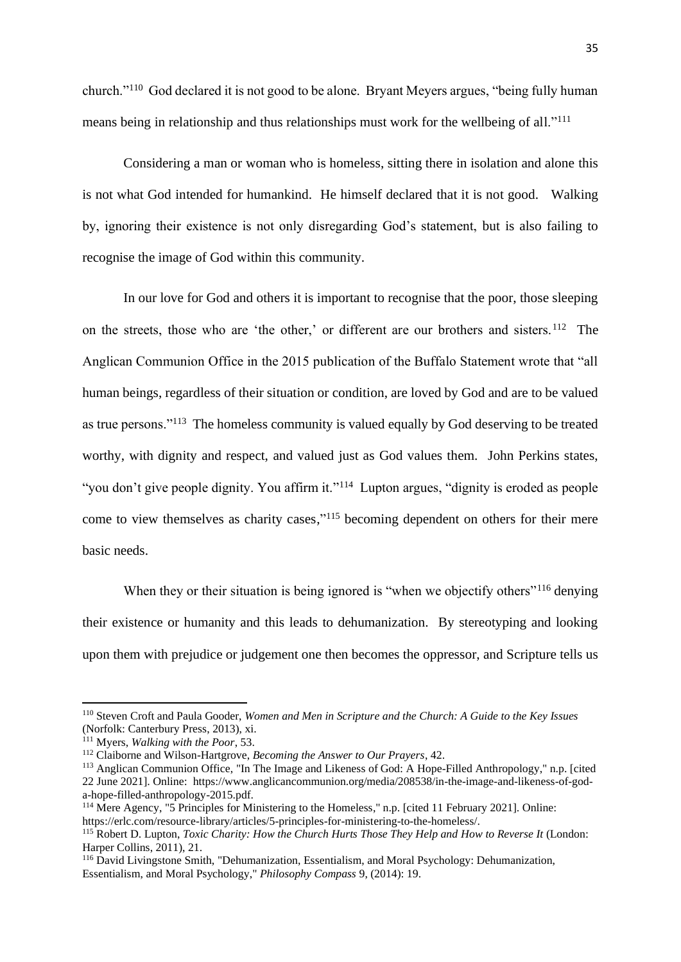church."<sup>110</sup> God declared it is not good to be alone. Bryant Meyers argues, "being fully human means being in relationship and thus relationships must work for the wellbeing of all."<sup>111</sup>

Considering a man or woman who is homeless, sitting there in isolation and alone this is not what God intended for humankind. He himself declared that it is not good. Walking by, ignoring their existence is not only disregarding God's statement, but is also failing to recognise the image of God within this community.

In our love for God and others it is important to recognise that the poor, those sleeping on the streets, those who are 'the other,' or different are our brothers and sisters.<sup>112</sup> The Anglican Communion Office in the 2015 publication of the Buffalo Statement wrote that "all human beings, regardless of their situation or condition, are loved by God and are to be valued as true persons."<sup>113</sup> The homeless community is valued equally by God deserving to be treated worthy, with dignity and respect, and valued just as God values them. John Perkins states, "you don't give people dignity. You affirm it."<sup>114</sup> Lupton argues, "dignity is eroded as people come to view themselves as charity cases," <sup>115</sup> becoming dependent on others for their mere basic needs.

When they or their situation is being ignored is "when we objectify others"<sup>116</sup> denying their existence or humanity and this leads to dehumanization. By stereotyping and looking upon them with prejudice or judgement one then becomes the oppressor, and Scripture tells us

<sup>110</sup> Steven Croft and Paula Gooder, *Women and Men in Scripture and the Church: A Guide to the Key Issues* (Norfolk: Canterbury Press, 2013), xi.

<sup>111</sup> Myers, *Walking with the Poor*, 53.

<sup>112</sup> Claiborne and Wilson-Hartgrove, *Becoming the Answer to Our Prayers*, 42.

<sup>&</sup>lt;sup>113</sup> Anglican Communion Office, "In The Image and Likeness of God: A Hope-Filled Anthropology," n.p. [cited 22 June 2021]. Online: https://www.anglicancommunion.org/media/208538/in-the-image-and-likeness-of-goda-hope-filled-anthropology-2015.pdf.

<sup>114</sup> Mere Agency, "5 Principles for Ministering to the Homeless," n.p. [cited 11 February 2021]. Online: https://erlc.com/resource-library/articles/5-principles-for-ministering-to-the-homeless/.

<sup>115</sup> Robert D. Lupton, *Toxic Charity: How the Church Hurts Those They Help and How to Reverse It* (London: Harper Collins, 2011), 21.

<sup>116</sup> David Livingstone Smith, "Dehumanization, Essentialism, and Moral Psychology: Dehumanization, Essentialism, and Moral Psychology," *Philosophy Compass* 9, (2014): 19.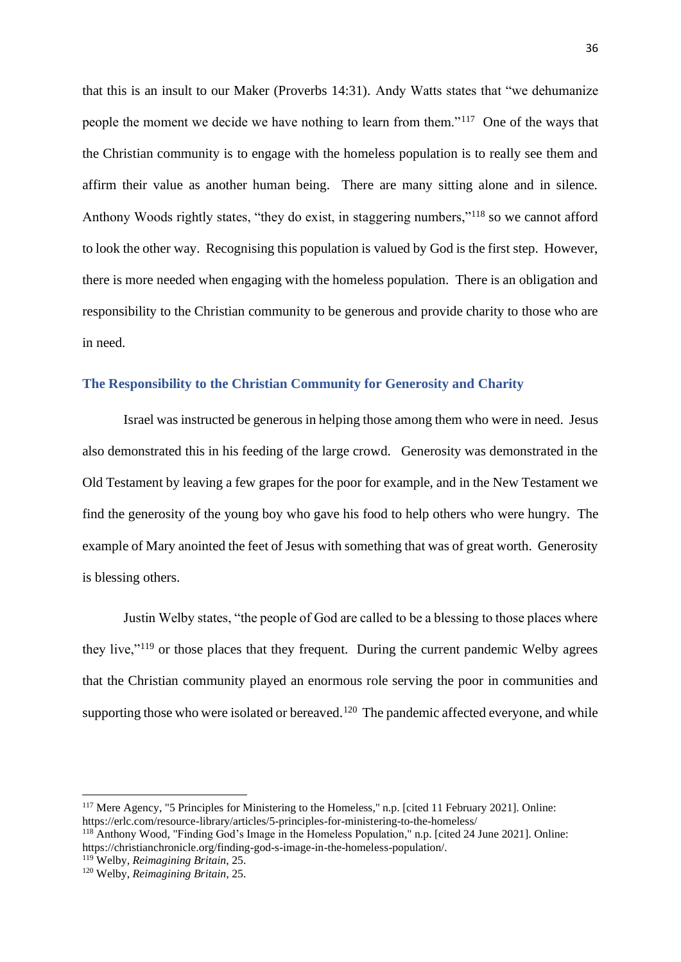that this is an insult to our Maker (Proverbs 14:31). Andy Watts states that "we dehumanize people the moment we decide we have nothing to learn from them."<sup>117</sup> One of the ways that the Christian community is to engage with the homeless population is to really see them and affirm their value as another human being. There are many sitting alone and in silence. Anthony Woods rightly states, "they do exist, in staggering numbers,"<sup>118</sup> so we cannot afford to look the other way. Recognising this population is valued by God is the first step. However, there is more needed when engaging with the homeless population. There is an obligation and responsibility to the Christian community to be generous and provide charity to those who are in need.

# <span id="page-39-0"></span>**The Responsibility to the Christian Community for Generosity and Charity**

Israel was instructed be generous in helping those among them who were in need. Jesus also demonstrated this in his feeding of the large crowd. Generosity was demonstrated in the Old Testament by leaving a few grapes for the poor for example, and in the New Testament we find the generosity of the young boy who gave his food to help others who were hungry. The example of Mary anointed the feet of Jesus with something that was of great worth. Generosity is blessing others.

Justin Welby states, "the people of God are called to be a blessing to those places where they live,"<sup>119</sup> or those places that they frequent. During the current pandemic Welby agrees that the Christian community played an enormous role serving the poor in communities and supporting those who were isolated or bereaved.<sup>120</sup> The pandemic affected everyone, and while

<sup>117</sup> Mere Agency, "5 Principles for Ministering to the Homeless," n.p. [cited 11 February 2021]. Online: https://erlc.com/resource-library/articles/5-principles-for-ministering-to-the-homeless/

<sup>118</sup> Anthony Wood, "Finding God's Image in the Homeless Population," n.p. [cited 24 June 2021]. Online: https://christianchronicle.org/finding-god-s-image-in-the-homeless-population/.

<sup>119</sup> Welby, *Reimagining Britain*, 25.

<sup>120</sup> Welby, *Reimagining Britain,* 25.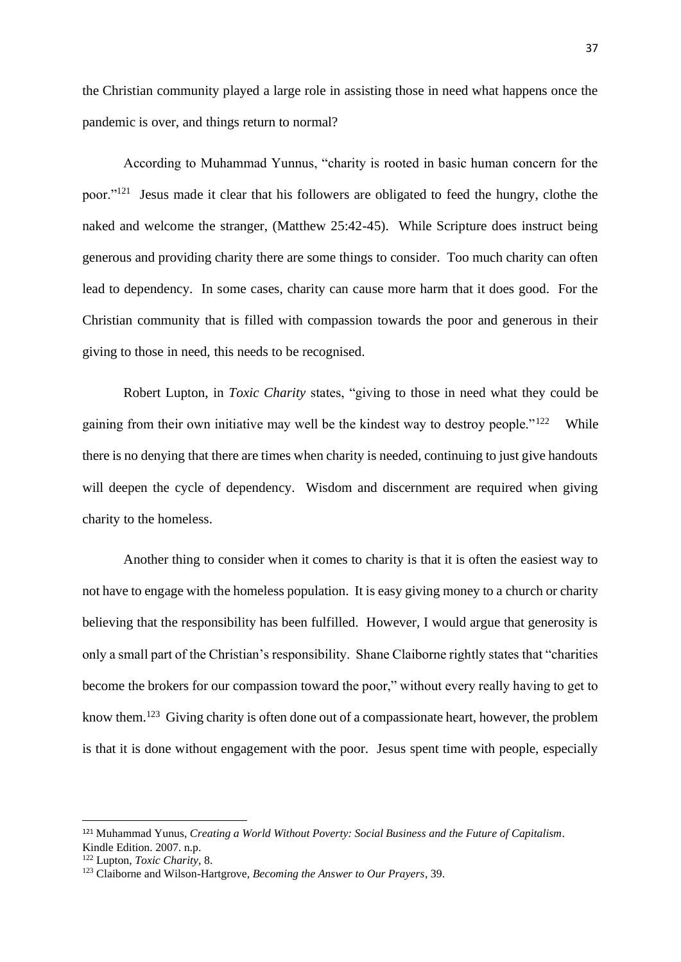the Christian community played a large role in assisting those in need what happens once the pandemic is over, and things return to normal?

According to Muhammad Yunnus, "charity is rooted in basic human concern for the poor."<sup>121</sup> Jesus made it clear that his followers are obligated to feed the hungry, clothe the naked and welcome the stranger, (Matthew 25:42-45). While Scripture does instruct being generous and providing charity there are some things to consider. Too much charity can often lead to dependency. In some cases, charity can cause more harm that it does good. For the Christian community that is filled with compassion towards the poor and generous in their giving to those in need, this needs to be recognised.

Robert Lupton, in *Toxic Charity* states, "giving to those in need what they could be gaining from their own initiative may well be the kindest way to destroy people."<sup>122</sup> While there is no denying that there are times when charity is needed, continuing to just give handouts will deepen the cycle of dependency. Wisdom and discernment are required when giving charity to the homeless.

Another thing to consider when it comes to charity is that it is often the easiest way to not have to engage with the homeless population. It is easy giving money to a church or charity believing that the responsibility has been fulfilled. However, I would argue that generosity is only a small part of the Christian's responsibility. Shane Claiborne rightly states that "charities become the brokers for our compassion toward the poor," without every really having to get to know them.<sup>123</sup> Giving charity is often done out of a compassionate heart, however, the problem is that it is done without engagement with the poor. Jesus spent time with people, especially

<sup>121</sup> Muhammad Yunus, *Creating a World Without Poverty: Social Business and the Future of Capitalism*. Kindle Edition. 2007. n.p.

<sup>122</sup> Lupton, *Toxic Charity*, 8.

<sup>123</sup> Claiborne and Wilson-Hartgrove, *Becoming the Answer to Our Prayers*, 39.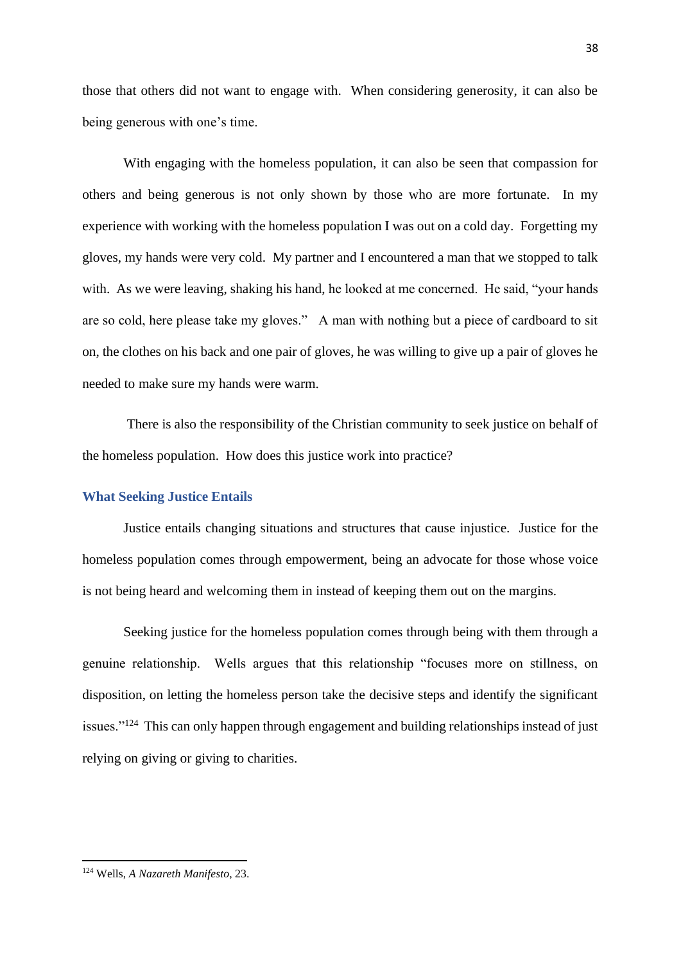those that others did not want to engage with. When considering generosity, it can also be being generous with one's time.

With engaging with the homeless population, it can also be seen that compassion for others and being generous is not only shown by those who are more fortunate. In my experience with working with the homeless population I was out on a cold day. Forgetting my gloves, my hands were very cold. My partner and I encountered a man that we stopped to talk with. As we were leaving, shaking his hand, he looked at me concerned. He said, "your hands are so cold, here please take my gloves." A man with nothing but a piece of cardboard to sit on, the clothes on his back and one pair of gloves, he was willing to give up a pair of gloves he needed to make sure my hands were warm.

There is also the responsibility of the Christian community to seek justice on behalf of the homeless population. How does this justice work into practice?

#### <span id="page-41-0"></span>**What Seeking Justice Entails**

Justice entails changing situations and structures that cause injustice. Justice for the homeless population comes through empowerment, being an advocate for those whose voice is not being heard and welcoming them in instead of keeping them out on the margins.

Seeking justice for the homeless population comes through being with them through a genuine relationship. Wells argues that this relationship "focuses more on stillness, on disposition, on letting the homeless person take the decisive steps and identify the significant issues."<sup>124</sup> This can only happen through engagement and building relationships instead of just relying on giving or giving to charities.

<sup>124</sup> Wells, *A Nazareth Manifesto*, 23.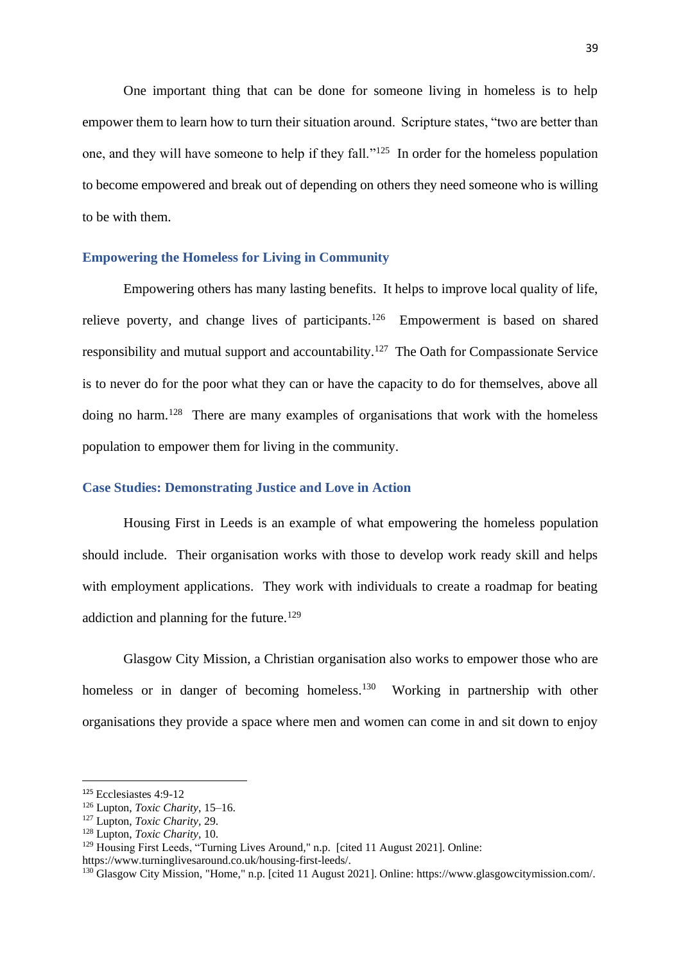One important thing that can be done for someone living in homeless is to help empower them to learn how to turn their situation around. Scripture states, "two are better than one, and they will have someone to help if they fall."<sup>125</sup> In order for the homeless population to become empowered and break out of depending on others they need someone who is willing to be with them.

## <span id="page-42-0"></span>**Empowering the Homeless for Living in Community**

Empowering others has many lasting benefits. It helps to improve local quality of life, relieve poverty, and change lives of participants.<sup>126</sup> Empowerment is based on shared responsibility and mutual support and accountability.<sup>127</sup> The Oath for Compassionate Service is to never do for the poor what they can or have the capacity to do for themselves, above all doing no harm.<sup>128</sup> There are many examples of organisations that work with the homeless population to empower them for living in the community.

# <span id="page-42-1"></span>**Case Studies: Demonstrating Justice and Love in Action**

Housing First in Leeds is an example of what empowering the homeless population should include. Their organisation works with those to develop work ready skill and helps with employment applications. They work with individuals to create a roadmap for beating addiction and planning for the future.<sup>129</sup>

Glasgow City Mission, a Christian organisation also works to empower those who are homeless or in danger of becoming homeless.<sup>130</sup> Working in partnership with other organisations they provide a space where men and women can come in and sit down to enjoy

<sup>125</sup> Ecclesiastes 4:9-12

<sup>126</sup> Lupton, *Toxic Charity*, 15–16.

<sup>127</sup> Lupton, *Toxic Charity,* 29.

<sup>128</sup> Lupton, *Toxic Charity,* 10.

<sup>&</sup>lt;sup>129</sup> Housing First Leeds, "Turning Lives Around," n.p. [cited 11 August 2021]. Online:

https://www.turninglivesaround.co.uk/housing-first-leeds/.

<sup>&</sup>lt;sup>130</sup> Glasgow City Mission, "Home," n.p. [cited 11 August 2021]. Online: https://www.glasgowcitymission.com/.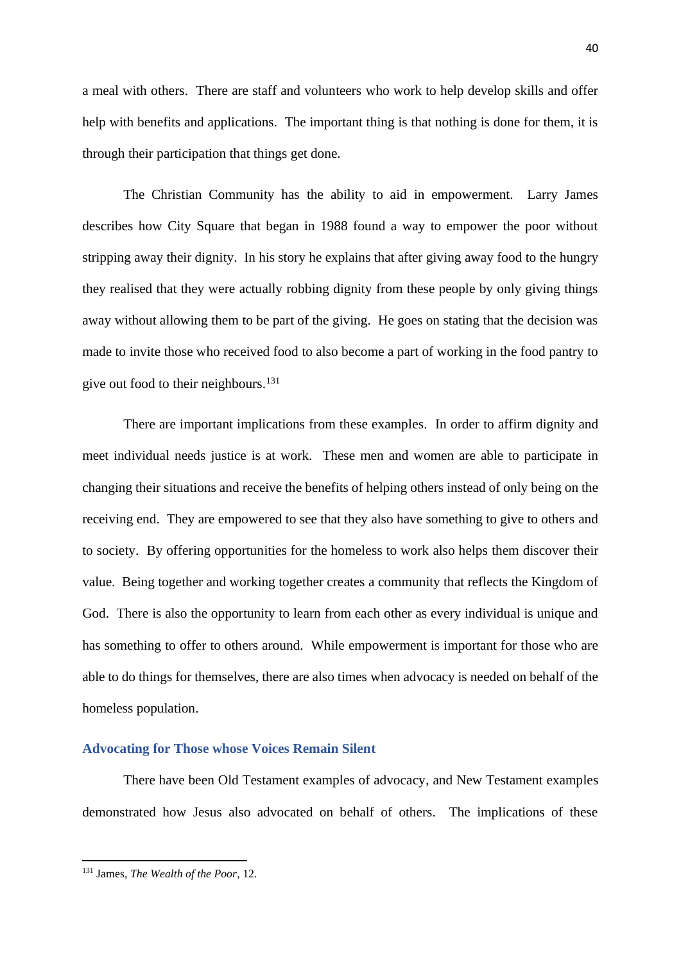a meal with others. There are staff and volunteers who work to help develop skills and offer help with benefits and applications. The important thing is that nothing is done for them, it is through their participation that things get done.

The Christian Community has the ability to aid in empowerment. Larry James describes how City Square that began in 1988 found a way to empower the poor without stripping away their dignity. In his story he explains that after giving away food to the hungry they realised that they were actually robbing dignity from these people by only giving things away without allowing them to be part of the giving. He goes on stating that the decision was made to invite those who received food to also become a part of working in the food pantry to give out food to their neighbours.<sup>131</sup>

There are important implications from these examples. In order to affirm dignity and meet individual needs justice is at work. These men and women are able to participate in changing their situations and receive the benefits of helping others instead of only being on the receiving end. They are empowered to see that they also have something to give to others and to society. By offering opportunities for the homeless to work also helps them discover their value. Being together and working together creates a community that reflects the Kingdom of God. There is also the opportunity to learn from each other as every individual is unique and has something to offer to others around. While empowerment is important for those who are able to do things for themselves, there are also times when advocacy is needed on behalf of the homeless population.

#### <span id="page-43-0"></span>**Advocating for Those whose Voices Remain Silent**

There have been Old Testament examples of advocacy, and New Testament examples demonstrated how Jesus also advocated on behalf of others. The implications of these

<sup>131</sup> James, *The Wealth of the Poor*, 12.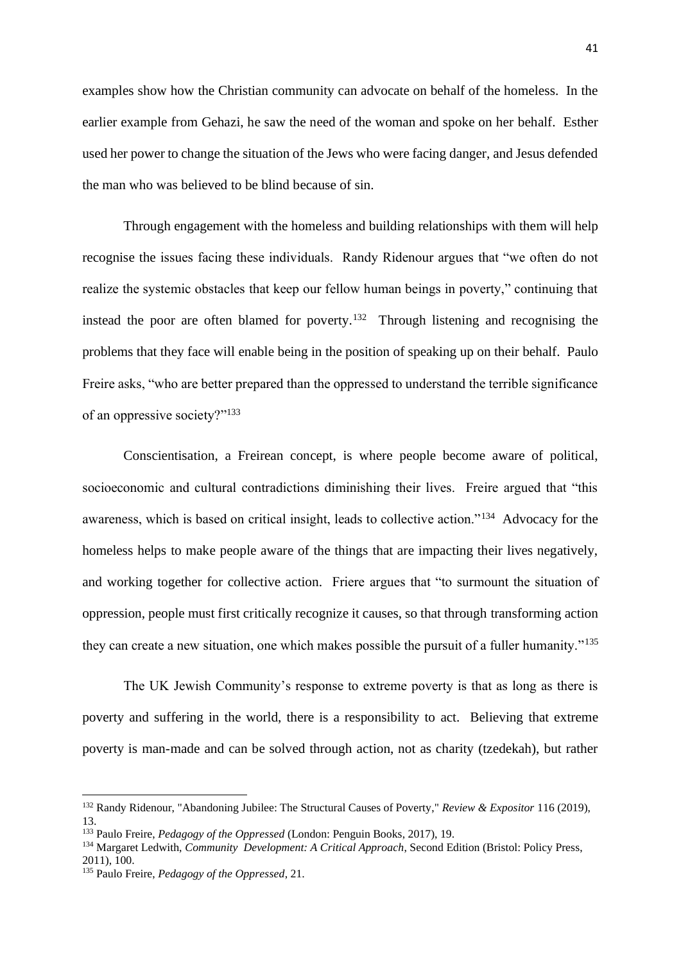examples show how the Christian community can advocate on behalf of the homeless. In the earlier example from Gehazi, he saw the need of the woman and spoke on her behalf. Esther used her power to change the situation of the Jews who were facing danger, and Jesus defended the man who was believed to be blind because of sin.

Through engagement with the homeless and building relationships with them will help recognise the issues facing these individuals. Randy Ridenour argues that "we often do not realize the systemic obstacles that keep our fellow human beings in poverty," continuing that instead the poor are often blamed for poverty.<sup>132</sup> Through listening and recognising the problems that they face will enable being in the position of speaking up on their behalf. Paulo Freire asks, "who are better prepared than the oppressed to understand the terrible significance of an oppressive society?"<sup>133</sup>

Conscientisation, a Freirean concept, is where people become aware of political, socioeconomic and cultural contradictions diminishing their lives. Freire argued that "this awareness, which is based on critical insight, leads to collective action."<sup>134</sup> Advocacy for the homeless helps to make people aware of the things that are impacting their lives negatively, and working together for collective action. Friere argues that "to surmount the situation of oppression, people must first critically recognize it causes, so that through transforming action they can create a new situation, one which makes possible the pursuit of a fuller humanity."<sup>135</sup>

The UK Jewish Community's response to extreme poverty is that as long as there is poverty and suffering in the world, there is a responsibility to act. Believing that extreme poverty is man-made and can be solved through action, not as charity (tzedekah), but rather

<sup>132</sup> Randy Ridenour, "Abandoning Jubilee: The Structural Causes of Poverty," *Review & Expositor* 116 (2019), 13.

<sup>133</sup> Paulo Freire, *Pedagogy of the Oppressed* (London: Penguin Books, 2017), 19.

<sup>&</sup>lt;sup>134</sup> Margaret Ledwith, *Community Development: A Critical Approach*, Second Edition (Bristol: Policy Press, 2011), 100.

<sup>135</sup> Paulo Freire, *Pedagogy of the Oppressed*, 21.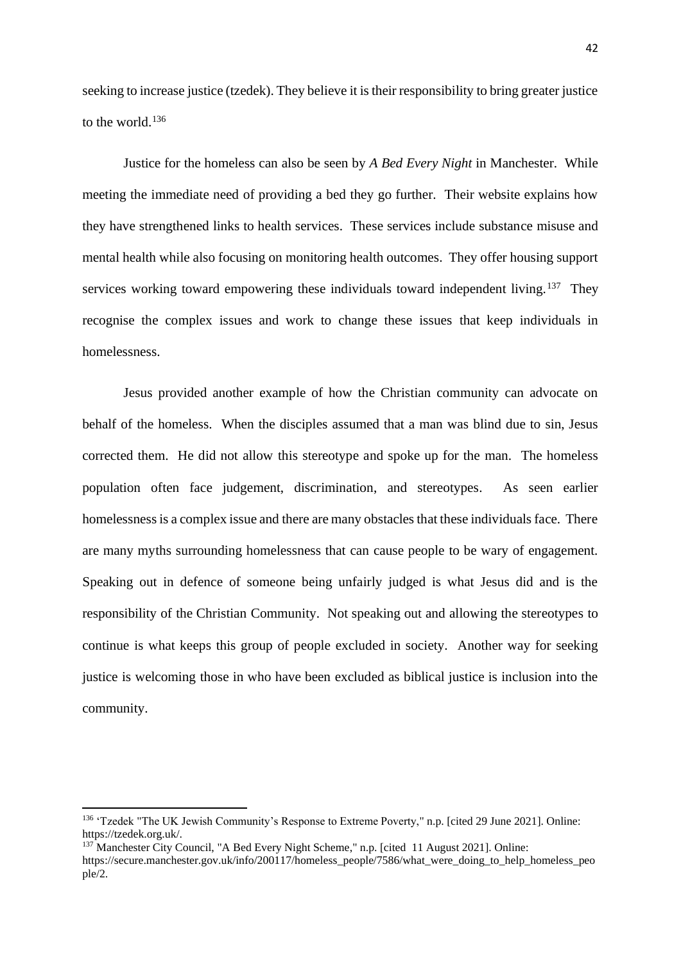seeking to increase justice (tzedek). They believe it is their responsibility to bring greater justice to the world.<sup>136</sup>

Justice for the homeless can also be seen by *A Bed Every Night* in Manchester. While meeting the immediate need of providing a bed they go further. Their website explains how they have strengthened links to health services. These services include substance misuse and mental health while also focusing on monitoring health outcomes. They offer housing support services working toward empowering these individuals toward independent living.<sup>137</sup> They recognise the complex issues and work to change these issues that keep individuals in homelessness.

Jesus provided another example of how the Christian community can advocate on behalf of the homeless. When the disciples assumed that a man was blind due to sin, Jesus corrected them. He did not allow this stereotype and spoke up for the man. The homeless population often face judgement, discrimination, and stereotypes. As seen earlier homelessness is a complex issue and there are many obstacles that these individuals face. There are many myths surrounding homelessness that can cause people to be wary of engagement. Speaking out in defence of someone being unfairly judged is what Jesus did and is the responsibility of the Christian Community. Not speaking out and allowing the stereotypes to continue is what keeps this group of people excluded in society. Another way for seeking justice is welcoming those in who have been excluded as biblical justice is inclusion into the community.

<sup>136</sup> 'Tzedek "The UK Jewish Community's Response to Extreme Poverty," n.p. [cited 29 June 2021]. Online: https://tzedek.org.uk/.

<sup>&</sup>lt;sup>137</sup> Manchester City Council, "A Bed Every Night Scheme," n.p. [cited 11 August 2021]. Online:

https://secure.manchester.gov.uk/info/200117/homeless\_people/7586/what\_were\_doing\_to\_help\_homeless\_peo ple/2.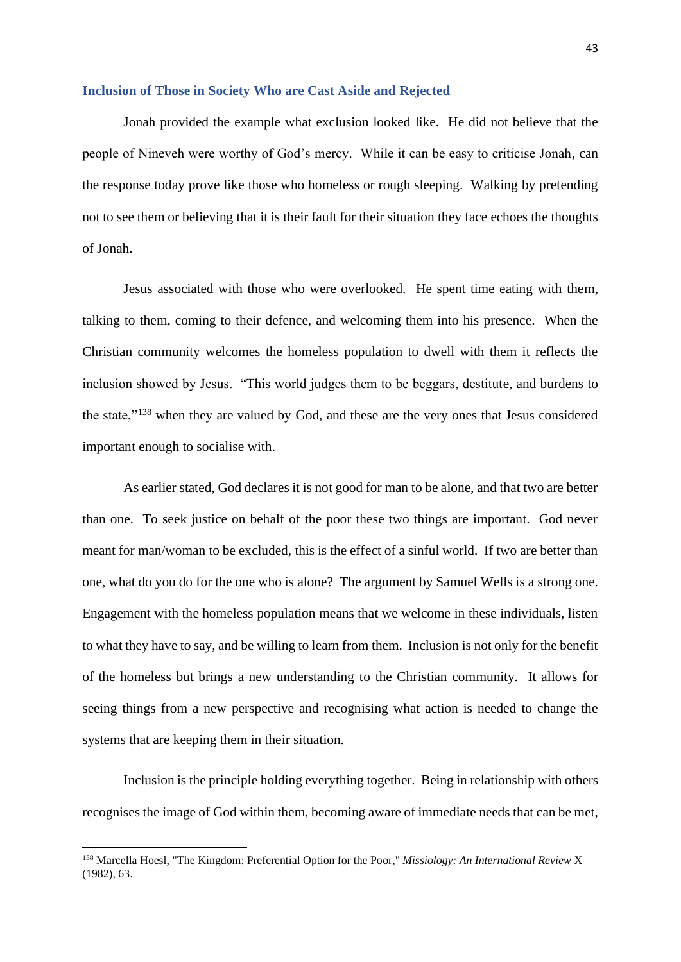#### <span id="page-46-0"></span>**Inclusion of Those in Society Who are Cast Aside and Rejected**

Jonah provided the example what exclusion looked like. He did not believe that the people of Nineveh were worthy of God's mercy. While it can be easy to criticise Jonah, can the response today prove like those who homeless or rough sleeping. Walking by pretending not to see them or believing that it is their fault for their situation they face echoes the thoughts of Jonah.

Jesus associated with those who were overlooked. He spent time eating with them, talking to them, coming to their defence, and welcoming them into his presence. When the Christian community welcomes the homeless population to dwell with them it reflects the inclusion showed by Jesus. "This world judges them to be beggars, destitute, and burdens to the state,"<sup>138</sup> when they are valued by God, and these are the very ones that Jesus considered important enough to socialise with.

As earlier stated, God declares it is not good for man to be alone, and that two are better than one. To seek justice on behalf of the poor these two things are important. God never meant for man/woman to be excluded, this is the effect of a sinful world. If two are better than one, what do you do for the one who is alone? The argument by Samuel Wells is a strong one. Engagement with the homeless population means that we welcome in these individuals, listen to what they have to say, and be willing to learn from them. Inclusion is not only for the benefit of the homeless but brings a new understanding to the Christian community. It allows for seeing things from a new perspective and recognising what action is needed to change the systems that are keeping them in their situation.

Inclusion is the principle holding everything together. Being in relationship with others recognises the image of God within them, becoming aware of immediate needs that can be met,

<sup>138</sup> Marcella Hoesl, "The Kingdom: Preferential Option for the Poor," *Missiology: An International Review* X (1982), 63.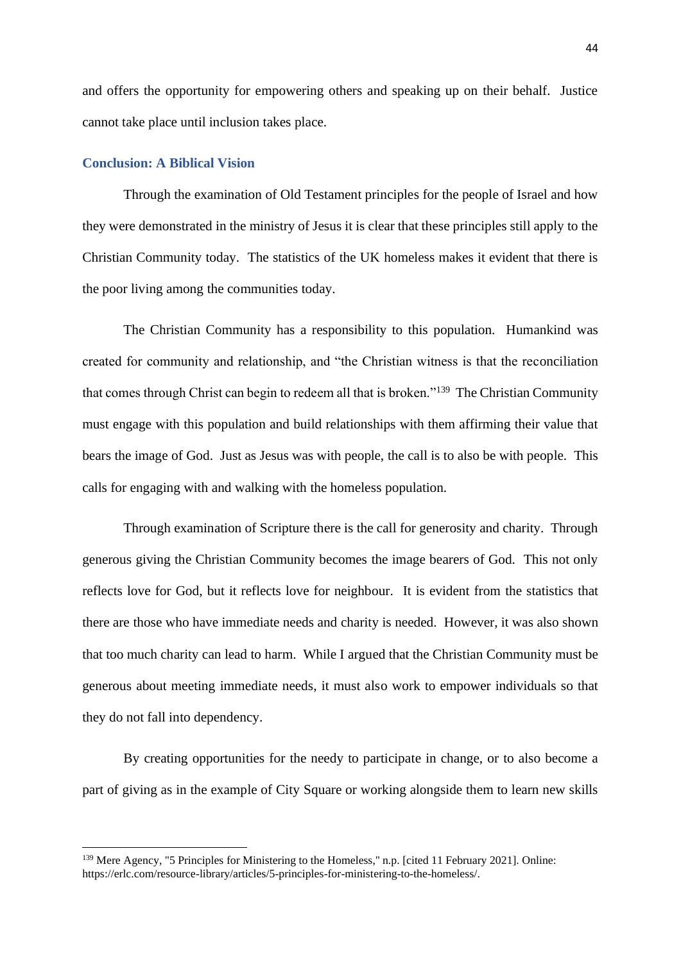and offers the opportunity for empowering others and speaking up on their behalf. Justice cannot take place until inclusion takes place.

# <span id="page-47-0"></span>**Conclusion: A Biblical Vision**

Through the examination of Old Testament principles for the people of Israel and how they were demonstrated in the ministry of Jesus it is clear that these principles still apply to the Christian Community today. The statistics of the UK homeless makes it evident that there is the poor living among the communities today.

The Christian Community has a responsibility to this population. Humankind was created for community and relationship, and "the Christian witness is that the reconciliation that comes through Christ can begin to redeem all that is broken."<sup>139</sup> The Christian Community must engage with this population and build relationships with them affirming their value that bears the image of God. Just as Jesus was with people, the call is to also be with people. This calls for engaging with and walking with the homeless population.

Through examination of Scripture there is the call for generosity and charity. Through generous giving the Christian Community becomes the image bearers of God. This not only reflects love for God, but it reflects love for neighbour. It is evident from the statistics that there are those who have immediate needs and charity is needed. However, it was also shown that too much charity can lead to harm. While I argued that the Christian Community must be generous about meeting immediate needs, it must also work to empower individuals so that they do not fall into dependency.

By creating opportunities for the needy to participate in change, or to also become a part of giving as in the example of City Square or working alongside them to learn new skills

<sup>139</sup> Mere Agency, "5 Principles for Ministering to the Homeless," n.p. [cited 11 February 2021]. Online: https://erlc.com/resource-library/articles/5-principles-for-ministering-to-the-homeless/.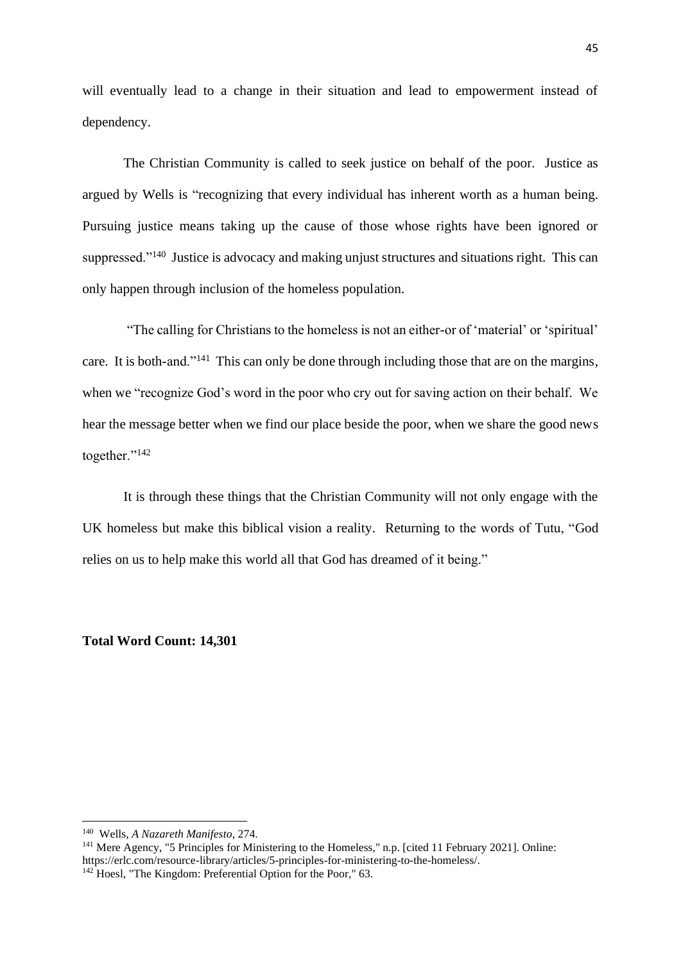will eventually lead to a change in their situation and lead to empowerment instead of dependency.

The Christian Community is called to seek justice on behalf of the poor. Justice as argued by Wells is "recognizing that every individual has inherent worth as a human being. Pursuing justice means taking up the cause of those whose rights have been ignored or suppressed."<sup>140</sup> Justice is advocacy and making unjust structures and situations right. This can only happen through inclusion of the homeless population.

"The calling for Christians to the homeless is not an either-or of 'material' or 'spiritual' care. It is both-and."<sup>141</sup> This can only be done through including those that are on the margins, when we "recognize God's word in the poor who cry out for saving action on their behalf. We hear the message better when we find our place beside the poor, when we share the good news together."<sup>142</sup>

It is through these things that the Christian Community will not only engage with the UK homeless but make this biblical vision a reality. Returning to the words of Tutu, "God relies on us to help make this world all that God has dreamed of it being."

**Total Word Count: 14,301**

<sup>140</sup> Wells, *A Nazareth Manifesto*, 274.

<sup>&</sup>lt;sup>141</sup> Mere Agency, "5 Principles for Ministering to the Homeless," n.p. [cited 11 February 2021]. Online: https://erlc.com/resource-library/articles/5-principles-for-ministering-to-the-homeless/.  $142$  Hoesl, "The Kingdom: Preferential Option for the Poor," 63.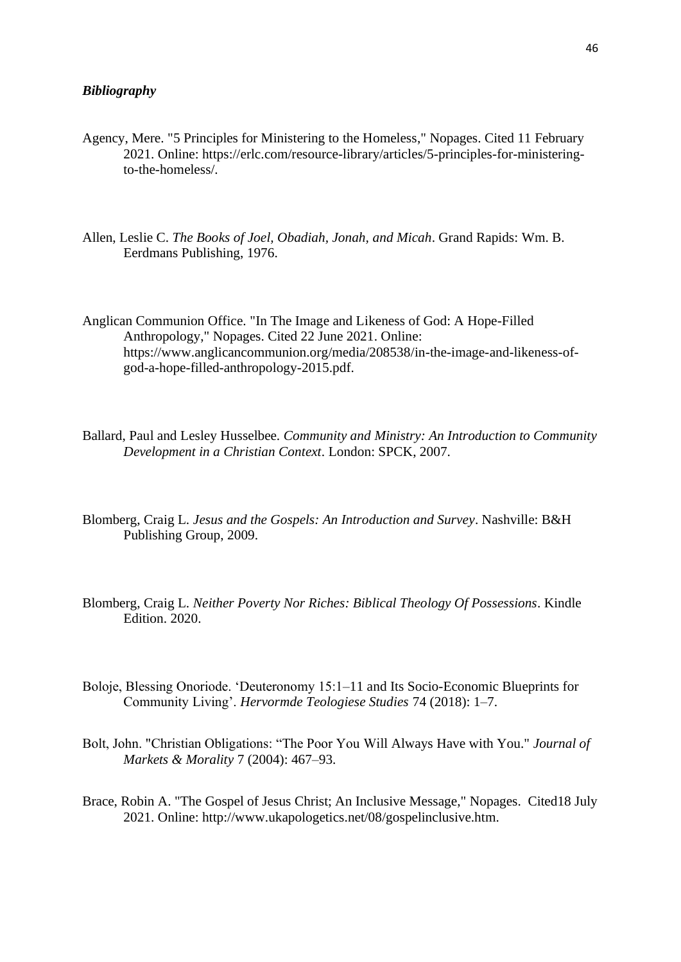- <span id="page-49-0"></span>Agency, Mere. "5 Principles for Ministering to the Homeless," Nopages. Cited 11 February 2021. Online: https://erlc.com/resource-library/articles/5-principles-for-ministeringto-the-homeless/.
- Allen, Leslie C. *The Books of Joel, Obadiah, Jonah, and Micah*. Grand Rapids: Wm. B. Eerdmans Publishing, 1976.

Anglican Communion Office. "In The Image and Likeness of God: A Hope-Filled Anthropology," Nopages. Cited 22 June 2021. Online: https://www.anglicancommunion.org/media/208538/in-the-image-and-likeness-ofgod-a-hope-filled-anthropology-2015.pdf.

- Ballard, Paul and Lesley Husselbee. *Community and Ministry: An Introduction to Community Development in a Christian Context*. London: SPCK, 2007.
- Blomberg, Craig L. *Jesus and the Gospels: An Introduction and Survey*. Nashville: B&H Publishing Group, 2009.
- Blomberg, Craig L. *Neither Poverty Nor Riches: Biblical Theology Of Possessions*. Kindle Edition. 2020.
- Boloje, Blessing Onoriode. 'Deuteronomy 15:1–11 and Its Socio-Economic Blueprints for Community Living'. *Hervormde Teologiese Studies* 74 (2018): 1–7.
- Bolt, John. "Christian Obligations: "The Poor You Will Always Have with You." *Journal of Markets & Morality* 7 (2004): 467–93.
- Brace, Robin A. "The Gospel of Jesus Christ; An Inclusive Message," Nopages. Cited18 July 2021. Online: http://www.ukapologetics.net/08/gospelinclusive.htm.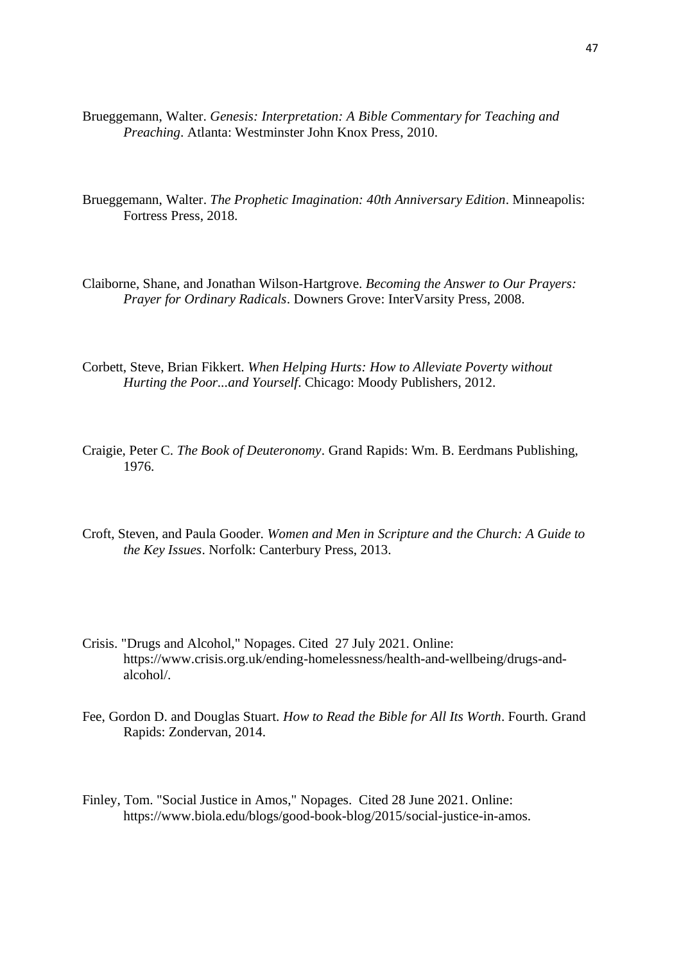- Brueggemann, Walter. *Genesis: Interpretation: A Bible Commentary for Teaching and Preaching*. Atlanta: Westminster John Knox Press, 2010.
- Brueggemann, Walter. *The Prophetic Imagination: 40th Anniversary Edition*. Minneapolis: Fortress Press, 2018.
- Claiborne, Shane, and Jonathan Wilson-Hartgrove. *Becoming the Answer to Our Prayers: Prayer for Ordinary Radicals*. Downers Grove: InterVarsity Press, 2008.
- Corbett, Steve, Brian Fikkert. *When Helping Hurts: How to Alleviate Poverty without Hurting the Poor...and Yourself*. Chicago: Moody Publishers, 2012.
- Craigie, Peter C. *The Book of Deuteronomy*. Grand Rapids: Wm. B. Eerdmans Publishing, 1976.
- Croft, Steven, and Paula Gooder. *Women and Men in Scripture and the Church: A Guide to the Key Issues*. Norfolk: Canterbury Press, 2013.
- Crisis. "Drugs and Alcohol," Nopages. Cited 27 July 2021. Online: https://www.crisis.org.uk/ending-homelessness/health-and-wellbeing/drugs-andalcohol/.
- Fee, Gordon D. and Douglas Stuart. *How to Read the Bible for All Its Worth*. Fourth. Grand Rapids: Zondervan, 2014.
- Finley, Tom. "Social Justice in Amos," Nopages. Cited 28 June 2021. Online: https://www.biola.edu/blogs/good-book-blog/2015/social-justice-in-amos.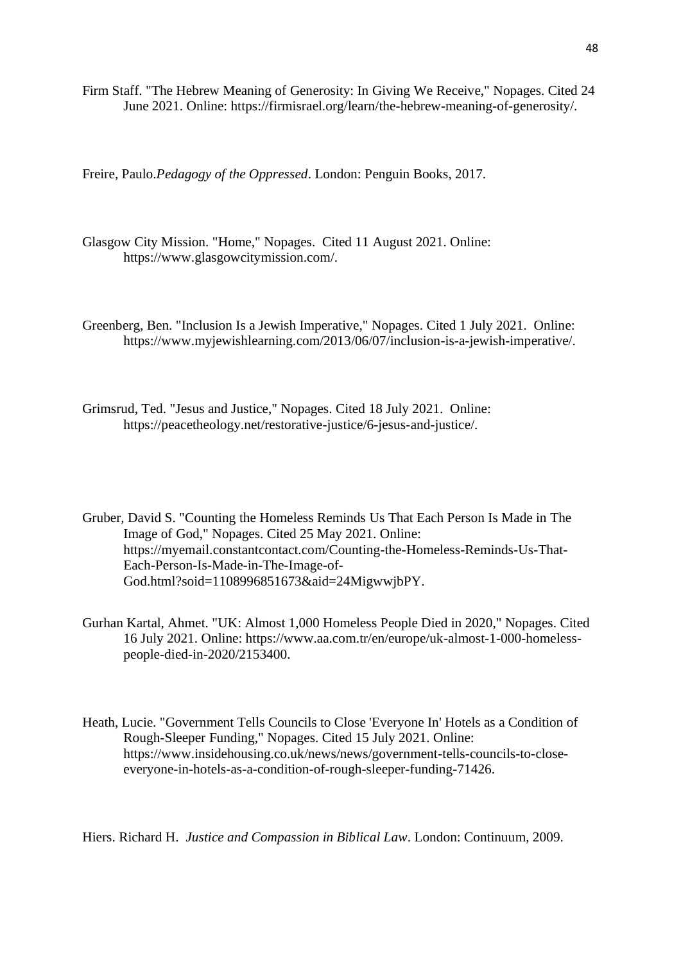Firm Staff. "The Hebrew Meaning of Generosity: In Giving We Receive," Nopages. Cited 24 June 2021. Online: https://firmisrael.org/learn/the-hebrew-meaning-of-generosity/.

Freire, Paulo.*Pedagogy of the Oppressed*. London: Penguin Books, 2017.

Glasgow City Mission. "Home," Nopages. Cited 11 August 2021. Online: https://www.glasgowcitymission.com/.

Greenberg, Ben. "Inclusion Is a Jewish Imperative," Nopages. Cited 1 July 2021. Online: https://www.myjewishlearning.com/2013/06/07/inclusion-is-a-jewish-imperative/.

Grimsrud, Ted. "Jesus and Justice," Nopages. Cited 18 July 2021. Online: https://peacetheology.net/restorative-justice/6-jesus-and-justice/.

Gruber, David S. "Counting the Homeless Reminds Us That Each Person Is Made in The Image of God," Nopages. Cited 25 May 2021. Online: https://myemail.constantcontact.com/Counting-the-Homeless-Reminds-Us-That-Each-Person-Is-Made-in-The-Image-of-God.html?soid=1108996851673&aid=24MigwwjbPY.

Gurhan Kartal, Ahmet. "UK: Almost 1,000 Homeless People Died in 2020," Nopages. Cited 16 July 2021. Online: https://www.aa.com.tr/en/europe/uk-almost-1-000-homelesspeople-died-in-2020/2153400.

Heath, Lucie. "Government Tells Councils to Close 'Everyone In' Hotels as a Condition of Rough-Sleeper Funding," Nopages. Cited 15 July 2021. Online: https://www.insidehousing.co.uk/news/news/government-tells-councils-to-closeeveryone-in-hotels-as-a-condition-of-rough-sleeper-funding-71426.

Hiers. Richard H. *Justice and Compassion in Biblical Law*. London: Continuum, 2009.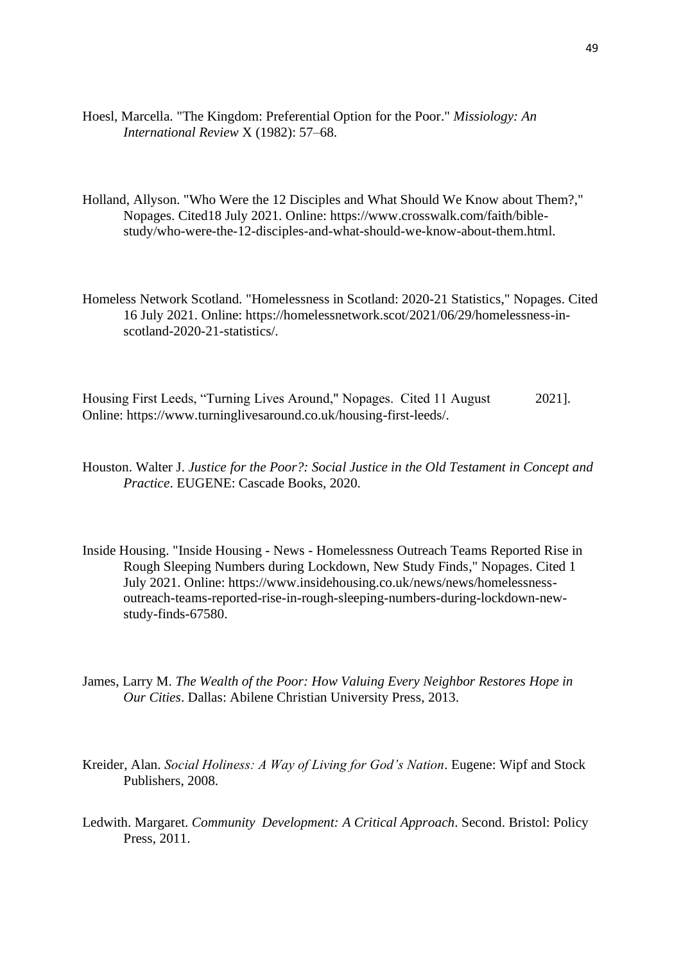- Hoesl, Marcella. "The Kingdom: Preferential Option for the Poor." *Missiology: An International Review* X (1982): 57–68.
- Holland, Allyson. "Who Were the 12 Disciples and What Should We Know about Them?," Nopages. Cited18 July 2021. Online: https://www.crosswalk.com/faith/biblestudy/who-were-the-12-disciples-and-what-should-we-know-about-them.html.
- Homeless Network Scotland. "Homelessness in Scotland: 2020-21 Statistics," Nopages. Cited 16 July 2021. Online: https://homelessnetwork.scot/2021/06/29/homelessness-inscotland-2020-21-statistics/.

Housing First Leeds, "Turning Lives Around," Nopages. Cited 11 August 2021]. Online: https://www.turninglivesaround.co.uk/housing-first-leeds/.

- Houston. Walter J. *Justice for the Poor?: Social Justice in the Old Testament in Concept and Practice*. EUGENE: Cascade Books, 2020.
- Inside Housing. "Inside Housing News Homelessness Outreach Teams Reported Rise in Rough Sleeping Numbers during Lockdown, New Study Finds," Nopages. Cited 1 July 2021. Online: https://www.insidehousing.co.uk/news/news/homelessnessoutreach-teams-reported-rise-in-rough-sleeping-numbers-during-lockdown-newstudy-finds-67580.
- James, Larry M. *The Wealth of the Poor: How Valuing Every Neighbor Restores Hope in Our Cities*. Dallas: Abilene Christian University Press, 2013.
- Kreider, Alan. *Social Holiness: A Way of Living for God's Nation*. Eugene: Wipf and Stock Publishers, 2008.
- Ledwith. Margaret. *Community Development: A Critical Approach*. Second. Bristol: Policy Press, 2011.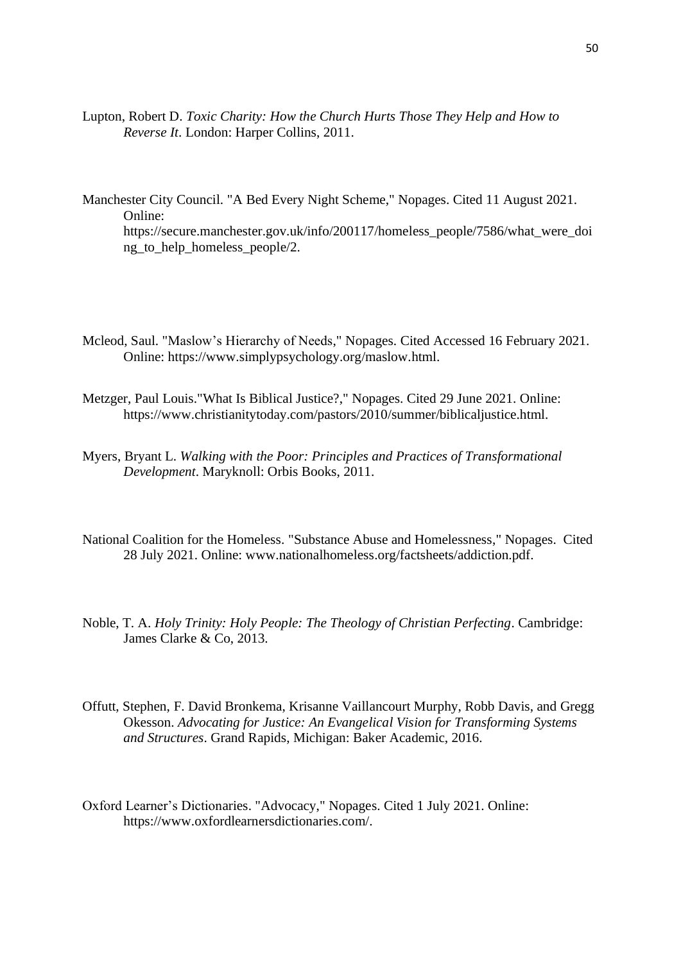Lupton, Robert D. *Toxic Charity: How the Church Hurts Those They Help and How to Reverse It*. London: Harper Collins, 2011.

Manchester City Council. "A Bed Every Night Scheme," Nopages. Cited 11 August 2021. Online: https://secure.manchester.gov.uk/info/200117/homeless\_people/7586/what\_were\_doi ng to help homeless people/2.

- Mcleod, Saul. "Maslow's Hierarchy of Needs," Nopages. Cited Accessed 16 February 2021. Online: https://www.simplypsychology.org/maslow.html.
- Metzger, Paul Louis."What Is Biblical Justice?," Nopages. Cited 29 June 2021. Online: https://www.christianitytoday.com/pastors/2010/summer/biblicaljustice.html.
- Myers, Bryant L. *Walking with the Poor: Principles and Practices of Transformational Development*. Maryknoll: Orbis Books, 2011.
- National Coalition for the Homeless. "Substance Abuse and Homelessness," Nopages. Cited 28 July 2021. Online: www.nationalhomeless.org/factsheets/addiction.pdf.
- Noble, T. A. *Holy Trinity: Holy People: The Theology of Christian Perfecting*. Cambridge: James Clarke & Co, 2013.
- Offutt, Stephen, F. David Bronkema, Krisanne Vaillancourt Murphy, Robb Davis, and Gregg Okesson. *Advocating for Justice: An Evangelical Vision for Transforming Systems and Structures*. Grand Rapids, Michigan: Baker Academic, 2016.
- Oxford Learner's Dictionaries. "Advocacy," Nopages. Cited 1 July 2021. Online: https://www.oxfordlearnersdictionaries.com/.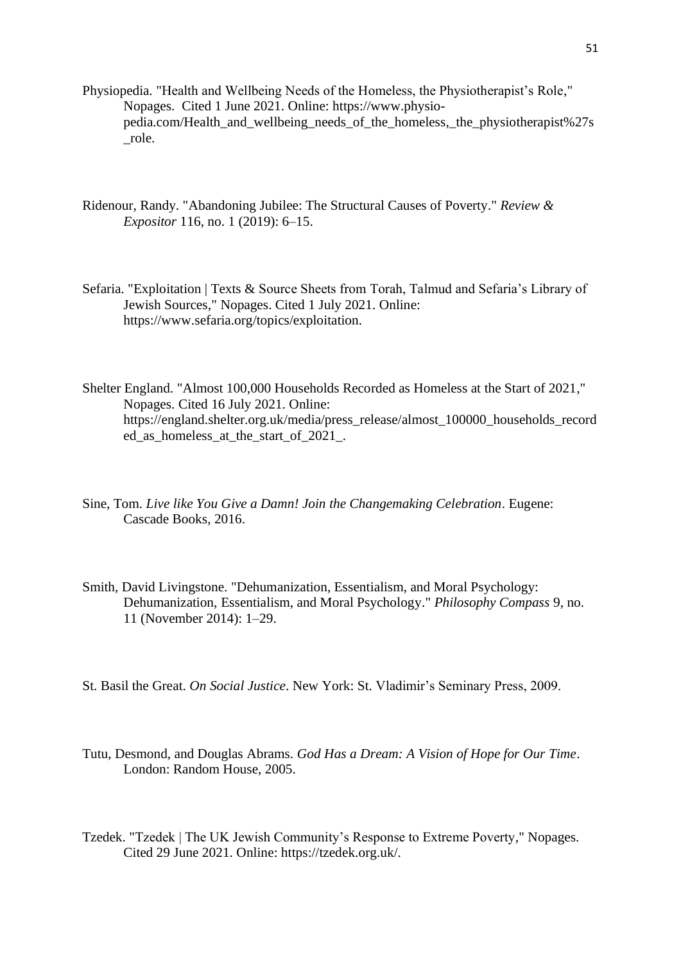- Physiopedia. "Health and Wellbeing Needs of the Homeless, the Physiotherapist's Role," Nopages. Cited 1 June 2021. Online: https://www.physiopedia.com/Health\_and\_wellbeing\_needs\_of\_the\_homeless,\_the\_physiotherapist%27s \_role.
- Ridenour, Randy. "Abandoning Jubilee: The Structural Causes of Poverty." *Review & Expositor* 116, no. 1 (2019): 6–15.
- Sefaria. "Exploitation | Texts & Source Sheets from Torah, Talmud and Sefaria's Library of Jewish Sources," Nopages. Cited 1 July 2021. Online: https://www.sefaria.org/topics/exploitation.
- Shelter England. "Almost 100,000 Households Recorded as Homeless at the Start of 2021," Nopages. Cited 16 July 2021. Online: https://england.shelter.org.uk/media/press\_release/almost\_100000\_households\_record ed as homeless at the start of 2021.
- Sine, Tom. *Live like You Give a Damn! Join the Changemaking Celebration*. Eugene: Cascade Books, 2016.
- Smith, David Livingstone. "Dehumanization, Essentialism, and Moral Psychology: Dehumanization, Essentialism, and Moral Psychology." *Philosophy Compass* 9, no. 11 (November 2014): 1–29.
- St. Basil the Great. *On Social Justice*. New York: St. Vladimir's Seminary Press, 2009.
- Tutu, Desmond, and Douglas Abrams. *God Has a Dream: A Vision of Hope for Our Time*. London: Random House, 2005.
- Tzedek. "Tzedek | The UK Jewish Community's Response to Extreme Poverty," Nopages. Cited 29 June 2021. Online: https://tzedek.org.uk/.